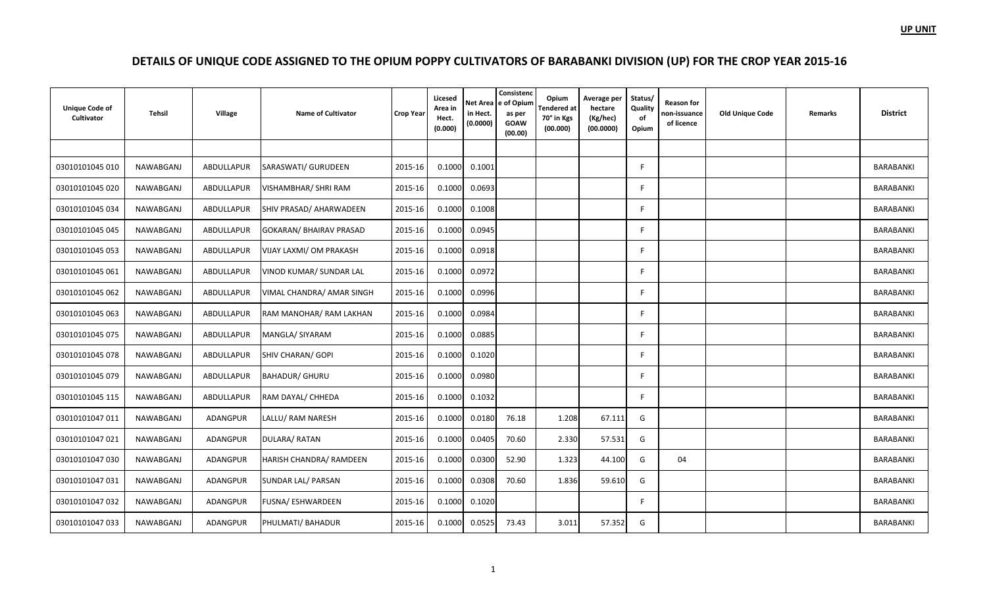| <b>Unique Code of</b><br>Cultivator | <b>Tehsil</b> | Village         | <b>Name of Cultivator</b>      | <b>Crop Year</b> | Licesed<br>Area in<br>Hect.<br>(0.000) | in Hect.<br>(0.0000) | Consistenc<br>Net Area e of Opium<br>as per<br><b>GOAW</b><br>(00.00) | Opium<br><b>Tendered</b> at<br>70° in Kgs<br>(00.000) | Average per<br>hectare<br>(Kg/hec)<br>(00.0000) | Status/<br>Quality<br>of<br>Opium | <b>Reason for</b><br>non-issuance<br>of licence | <b>Old Unique Code</b> | Remarks | <b>District</b> |
|-------------------------------------|---------------|-----------------|--------------------------------|------------------|----------------------------------------|----------------------|-----------------------------------------------------------------------|-------------------------------------------------------|-------------------------------------------------|-----------------------------------|-------------------------------------------------|------------------------|---------|-----------------|
|                                     |               |                 |                                |                  |                                        |                      |                                                                       |                                                       |                                                 |                                   |                                                 |                        |         |                 |
| 03010101045 010                     | NAWABGANJ     | ABDULLAPUR      | SARASWATI/ GURUDEEN            | 2015-16          | 0.1000                                 | 0.1001               |                                                                       |                                                       |                                                 | F                                 |                                                 |                        |         | BARABANKI       |
| 03010101045 020                     | NAWABGANJ     | ABDULLAPUR      | VISHAMBHAR/ SHRI RAM           | 2015-16          | 0.1000                                 | 0.0693               |                                                                       |                                                       |                                                 | F                                 |                                                 |                        |         | BARABANKI       |
| 03010101045 034                     | NAWABGANJ     | ABDULLAPUR      | SHIV PRASAD/ AHARWADEEN        | 2015-16          | 0.1000                                 | 0.1008               |                                                                       |                                                       |                                                 | F                                 |                                                 |                        |         | BARABANKI       |
| 03010101045 045                     | NAWABGANJ     | ABDULLAPUR      | <b>GOKARAN/ BHAIRAV PRASAD</b> | 2015-16          | 0.1000                                 | 0.0945               |                                                                       |                                                       |                                                 | F                                 |                                                 |                        |         | BARABANKI       |
| 03010101045 053                     | NAWABGANJ     | ABDULLAPUR      | VIJAY LAXMI/ OM PRAKASH        | 2015-16          | 0.1000                                 | 0.0918               |                                                                       |                                                       |                                                 | F                                 |                                                 |                        |         | BARABANKI       |
| 03010101045 061                     | NAWABGANJ     | ABDULLAPUR      | VINOD KUMAR/ SUNDAR LAL        | 2015-16          | 0.1000                                 | 0.0972               |                                                                       |                                                       |                                                 | F                                 |                                                 |                        |         | BARABANKI       |
| 03010101045 062                     | NAWABGANJ     | ABDULLAPUR      | VIMAL CHANDRA/ AMAR SINGH      | 2015-16          | 0.1000                                 | 0.0996               |                                                                       |                                                       |                                                 | F                                 |                                                 |                        |         | BARABANKI       |
| 03010101045 063                     | NAWABGANJ     | ABDULLAPUR      | RAM MANOHAR/RAM LAKHAN         | 2015-16          | 0.1000                                 | 0.0984               |                                                                       |                                                       |                                                 | E                                 |                                                 |                        |         | BARABANKI       |
| 03010101045 075                     | NAWABGANJ     | ABDULLAPUR      | MANGLA/ SIYARAM                | 2015-16          | 0.1000                                 | 0.0885               |                                                                       |                                                       |                                                 |                                   |                                                 |                        |         | BARABANKI       |
| 03010101045 078                     | NAWABGANJ     | ABDULLAPUR      | <b>SHIV CHARAN/ GOPI</b>       | 2015-16          | 0.1000                                 | 0.1020               |                                                                       |                                                       |                                                 | E                                 |                                                 |                        |         | BARABANKI       |
| 03010101045 079                     | NAWABGANJ     | ABDULLAPUR      | <b>BAHADUR/ GHURU</b>          | 2015-16          | 0.1000                                 | 0.0980               |                                                                       |                                                       |                                                 | F                                 |                                                 |                        |         | BARABANKI       |
| 03010101045 115                     | NAWABGANJ     | ABDULLAPUR      | RAM DAYAL/ CHHEDA              | 2015-16          | 0.1000                                 | 0.1032               |                                                                       |                                                       |                                                 | F                                 |                                                 |                        |         | BARABANKI       |
| 03010101047 011                     | NAWABGANJ     | ADANGPUR        | LALLU/ RAM NARESH              | 2015-16          | 0.1000                                 | 0.0180               | 76.18                                                                 | 1.208                                                 | 67.111                                          | G                                 |                                                 |                        |         | BARABANKI       |
| 03010101047 021                     | NAWABGANJ     | ADANGPUR        | DULARA/RATAN                   | 2015-16          | 0.1000                                 | 0.0405               | 70.60                                                                 | 2.330                                                 | 57.531                                          | G                                 |                                                 |                        |         | BARABANKI       |
| 03010101047 030                     | NAWABGANJ     | <b>ADANGPUR</b> | HARISH CHANDRA/ RAMDEEN        | 2015-16          | 0.1000                                 | 0.0300               | 52.90                                                                 | 1.323                                                 | 44.100                                          | G                                 | 04                                              |                        |         | BARABANKI       |
| 03010101047 031                     | NAWABGANJ     | ADANGPUR        | SUNDAR LAL/ PARSAN             | 2015-16          | 0.1000                                 | 0.0308               | 70.60                                                                 | 1.836                                                 | 59.610                                          | G                                 |                                                 |                        |         | BARABANKI       |
| 03010101047 032                     | NAWABGANJ     | <b>ADANGPUR</b> | <b>FUSNA/ ESHWARDEEN</b>       | 2015-16          | 0.1000                                 | 0.1020               |                                                                       |                                                       |                                                 |                                   |                                                 |                        |         | BARABANKI       |
| 03010101047 033                     | NAWABGANJ     | <b>ADANGPUR</b> | PHULMATI/ BAHADUR              | 2015-16          | 0.1000                                 | 0.0525               | 73.43                                                                 | 3.011                                                 | 57.352                                          | G                                 |                                                 |                        |         | BARABANKI       |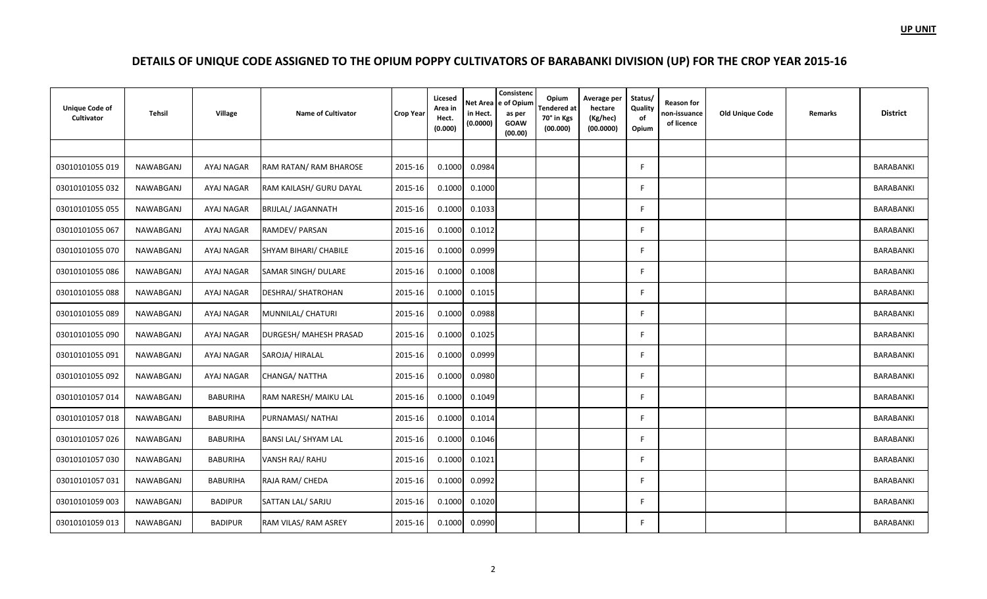| <b>Unique Code of</b><br>Cultivator | <b>Tehsil</b>    | Village         | <b>Name of Cultivator</b> | <b>Crop Year</b> | Licesed<br>Area in<br>Hect.<br>(0.000) | <b>Net Area</b><br>in Hect.<br>(0.0000) | Consistenc<br>e of Opium<br>as per<br><b>GOAW</b><br>(00.00) | Opium<br><b>Tendered at</b><br>70° in Kgs<br>(00.000) | Average per<br>hectare<br>(Kg/hec)<br>(00.0000) | Status/<br>Quality<br>of<br>Opium | <b>Reason for</b><br>non-issuance<br>of licence | Old Unique Code | Remarks | <b>District</b> |
|-------------------------------------|------------------|-----------------|---------------------------|------------------|----------------------------------------|-----------------------------------------|--------------------------------------------------------------|-------------------------------------------------------|-------------------------------------------------|-----------------------------------|-------------------------------------------------|-----------------|---------|-----------------|
|                                     |                  |                 |                           |                  |                                        |                                         |                                                              |                                                       |                                                 |                                   |                                                 |                 |         |                 |
| 03010101055 019                     | NAWABGANJ        | AYAJ NAGAR      | RAM RATAN/ RAM BHAROSE    | 2015-16          | 0.1000                                 | 0.0984                                  |                                                              |                                                       |                                                 | F                                 |                                                 |                 |         | BARABANKI       |
| 03010101055 032                     | NAWABGANJ        | AYAJ NAGAR      | RAM KAILASH/ GURU DAYAL   | 2015-16          | 0.1000                                 | 0.1000                                  |                                                              |                                                       |                                                 | F                                 |                                                 |                 |         | BARABANKI       |
| 03010101055 055                     | NAWABGANJ        | AYAJ NAGAR      | BRIJLAL/ JAGANNATH        | 2015-16          | 0.1000                                 | 0.1033                                  |                                                              |                                                       |                                                 | F                                 |                                                 |                 |         | BARABANKI       |
| 03010101055 067                     | NAWABGANJ        | AYAJ NAGAR      | RAMDEV/ PARSAN            | 2015-16          | 0.1000                                 | 0.1012                                  |                                                              |                                                       |                                                 | F                                 |                                                 |                 |         | BARABANKI       |
| 03010101055 070                     | NAWABGANJ        | AYAJ NAGAR      | SHYAM BIHARI/ CHABILE     | 2015-16          | 0.1000                                 | 0.0999                                  |                                                              |                                                       |                                                 | F                                 |                                                 |                 |         | BARABANKI       |
| 03010101055 086                     | NAWABGANJ        | AYAJ NAGAR      | SAMAR SINGH/ DULARE       | 2015-16          | 0.1000                                 | 0.1008                                  |                                                              |                                                       |                                                 | E                                 |                                                 |                 |         | BARABANKI       |
| 03010101055 088                     | NAWABGANJ        | AYAJ NAGAR      | <b>DESHRAJ/ SHATROHAN</b> | 2015-16          | 0.1000                                 | 0.1015                                  |                                                              |                                                       |                                                 | F                                 |                                                 |                 |         | BARABANKI       |
| 03010101055 089                     | NAWABGANJ        | AYAJ NAGAR      | MUNNILAL/ CHATURI         | 2015-16          | 0.1000                                 | 0.0988                                  |                                                              |                                                       |                                                 | F                                 |                                                 |                 |         | BARABANKI       |
| 03010101055 090                     | NAWABGANJ        | AYAJ NAGAR      | DURGESH/ MAHESH PRASAD    | 2015-16          | 0.1000                                 | 0.1025                                  |                                                              |                                                       |                                                 | F                                 |                                                 |                 |         | BARABANKI       |
| 03010101055 091                     | NAWABGANJ        | AYAJ NAGAR      | SAROJA/HIRALAL            | 2015-16          | 0.1000                                 | 0.0999                                  |                                                              |                                                       |                                                 | F                                 |                                                 |                 |         | BARABANKI       |
| 03010101055 092                     | NAWABGANJ        | AYAJ NAGAR      | CHANGA/ NATTHA            | 2015-16          | 0.1000                                 | 0.0980                                  |                                                              |                                                       |                                                 | F                                 |                                                 |                 |         | BARABANKI       |
| 03010101057 014                     | NAWABGANJ        | <b>BABURIHA</b> | RAM NARESH/ MAIKU LAL     | 2015-16          | 0.1000                                 | 0.1049                                  |                                                              |                                                       |                                                 | F                                 |                                                 |                 |         | BARABANKI       |
| 03010101057018                      | <b>NAWABGANJ</b> | <b>BABURIHA</b> | PURNAMASI/ NATHAI         | 2015-16          | 0.1000                                 | 0.1014                                  |                                                              |                                                       |                                                 | F                                 |                                                 |                 |         | BARABANKI       |
| 03010101057026                      | NAWABGANJ        | <b>BABURIHA</b> | BANSI LAL/ SHYAM LAL      | 2015-16          | 0.1000                                 | 0.1046                                  |                                                              |                                                       |                                                 | F                                 |                                                 |                 |         | BARABANKI       |
| 03010101057 030                     | NAWABGANJ        | <b>BABURIHA</b> | VANSH RAJ/ RAHU           | 2015-16          | 0.1000                                 | 0.1021                                  |                                                              |                                                       |                                                 | F                                 |                                                 |                 |         | BARABANKI       |
| 03010101057 031                     | NAWABGANJ        | <b>BABURIHA</b> | RAJA RAM/ CHEDA           | 2015-16          | 0.1000                                 | 0.0992                                  |                                                              |                                                       |                                                 | F                                 |                                                 |                 |         | BARABANKI       |
| 03010101059 003                     | NAWABGANJ        | <b>BADIPUR</b>  | SATTAN LAL/ SARJU         | 2015-16          | 0.1000                                 | 0.1020                                  |                                                              |                                                       |                                                 | F                                 |                                                 |                 |         | BARABANKI       |
| 03010101059 013                     | NAWABGANJ        | <b>BADIPUR</b>  | RAM VILAS/ RAM ASREY      | 2015-16          | 0.1000                                 | 0.0990                                  |                                                              |                                                       |                                                 | F                                 |                                                 |                 |         | BARABANKI       |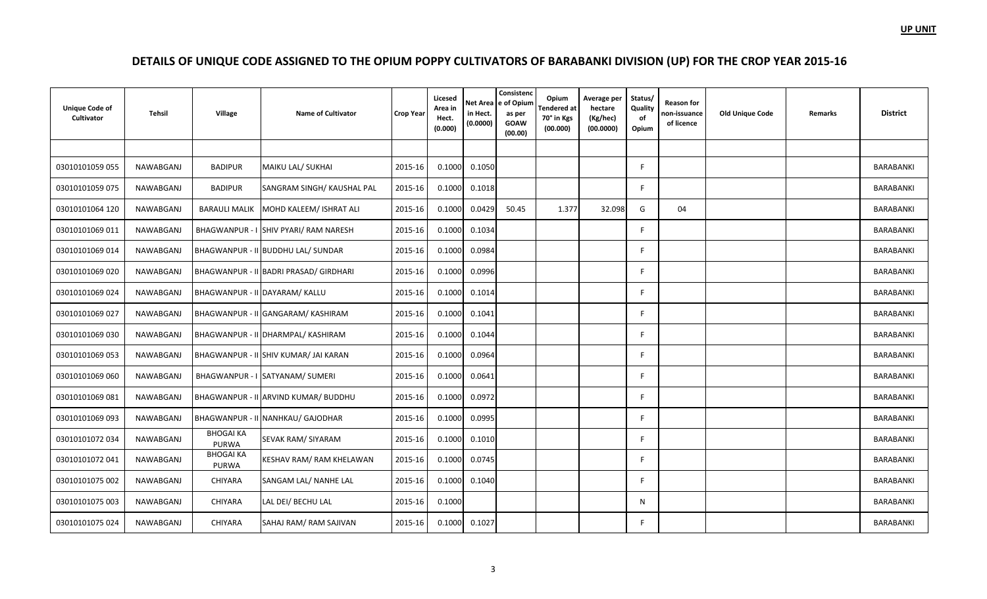| <b>Unique Code of</b><br>Cultivator | Tehsil    | Village                   | <b>Name of Cultivator</b>              | <b>Crop Year</b> | Licesed<br>Area in<br>Hect.<br>(0.000) | Net Area<br>in Hect.<br>(0.0000) | Consistenc<br>e of Opium<br>as per<br><b>GOAW</b><br>(00.00) | Opium<br>Tendered at<br>70° in Kgs<br>(00.000) | Average per<br>hectare<br>(Kg/hec)<br>(00.0000) | Status/<br>Quality<br>of<br>Opium | <b>Reason for</b><br>non-issuance<br>of licence | Old Unique Code | <b>Remarks</b> | <b>District</b>  |
|-------------------------------------|-----------|---------------------------|----------------------------------------|------------------|----------------------------------------|----------------------------------|--------------------------------------------------------------|------------------------------------------------|-------------------------------------------------|-----------------------------------|-------------------------------------------------|-----------------|----------------|------------------|
|                                     |           |                           |                                        |                  |                                        |                                  |                                                              |                                                |                                                 |                                   |                                                 |                 |                |                  |
| 03010101059 055                     | NAWABGANJ | <b>BADIPUR</b>            | MAIKU LAL/ SUKHAI                      | 2015-16          | 0.1000                                 | 0.1050                           |                                                              |                                                |                                                 | F                                 |                                                 |                 |                | BARABANKI        |
| 03010101059 075                     | NAWABGANJ | <b>BADIPUR</b>            | SANGRAM SINGH/ KAUSHAL PAL             | 2015-16          | 0.1000                                 | 0.1018                           |                                                              |                                                |                                                 | E                                 |                                                 |                 |                | BARABANKI        |
| 03010101064 120                     | NAWABGANJ | <b>BARAULI MALIK</b>      | MOHD KALEEM/ ISHRAT ALI                | 2015-16          | 0.1000                                 | 0.0429                           | 50.45                                                        | 1.377                                          | 32.098                                          | G                                 | 04                                              |                 |                | BARABANKI        |
| 03010101069 011                     | NAWABGANJ |                           | BHAGWANPUR - I SHIV PYARI/ RAM NARESH  | 2015-16          | 0.1000                                 | 0.1034                           |                                                              |                                                |                                                 | E                                 |                                                 |                 |                | <b>BARABANKI</b> |
| 03010101069 014                     | NAWABGANJ |                           | BHAGWANPUR - II BUDDHU LAL/ SUNDAR     | 2015-16          | 0.1000                                 | 0.0984                           |                                                              |                                                |                                                 | F                                 |                                                 |                 |                | <b>BARABANKI</b> |
| 03010101069 020                     | NAWABGANJ |                           | BHAGWANPUR - II BADRI PRASAD/ GIRDHARI | 2015-16          | 0.1000                                 | 0.0996                           |                                                              |                                                |                                                 | E                                 |                                                 |                 |                | BARABANKI        |
| 03010101069 024                     | NAWABGANJ |                           | BHAGWANPUR - II DAYARAM/ KALLU         | 2015-16          | 0.1000                                 | 0.1014                           |                                                              |                                                |                                                 | F                                 |                                                 |                 |                | BARABANKI        |
| 03010101069 027                     | NAWABGANJ |                           | BHAGWANPUR - II GANGARAM/ KASHIRAM     | 2015-16          | 0.1000                                 | 0.1041                           |                                                              |                                                |                                                 | E                                 |                                                 |                 |                | BARABANKI        |
| 03010101069 030                     | NAWABGANJ |                           | BHAGWANPUR - II DHARMPAL/ KASHIRAM     | 2015-16          | 0.1000                                 | 0.1044                           |                                                              |                                                |                                                 | F                                 |                                                 |                 |                | BARABANKI        |
| 03010101069 053                     | NAWABGANJ |                           | BHAGWANPUR - II SHIV KUMAR/ JAI KARAN  | 2015-16          | 0.1000                                 | 0.0964                           |                                                              |                                                |                                                 | E                                 |                                                 |                 |                | <b>BARABANKI</b> |
| 03010101069 060                     | NAWABGANJ |                           | BHAGWANPUR - I SATYANAM/ SUMERI        | 2015-16          | 0.1000                                 | 0.0641                           |                                                              |                                                |                                                 | F                                 |                                                 |                 |                | BARABANKI        |
| 03010101069 081                     | NAWABGANJ |                           | BHAGWANPUR - II ARVIND KUMAR/ BUDDHU   | 2015-16          | 0.1000                                 | 0.0972                           |                                                              |                                                |                                                 | E                                 |                                                 |                 |                | BARABANKI        |
| 03010101069 093                     | NAWABGANJ |                           | BHAGWANPUR - II NANHKAU/ GAJODHAR      | 2015-16          | 0.1000                                 | 0.0995                           |                                                              |                                                |                                                 | F                                 |                                                 |                 |                | BARABANKI        |
| 03010101072 034                     | NAWABGANJ | <b>BHOGAI KA</b><br>PURWA | <b>SEVAK RAM/ SIYARAM</b>              | 2015-16          | 0.1000                                 | 0.1010                           |                                                              |                                                |                                                 | E                                 |                                                 |                 |                | BARABANKI        |
| 03010101072 041                     | NAWABGANJ | <b>BHOGAI KA</b><br>PURWA | KESHAV RAM/ RAM KHELAWAN               | 2015-16          | 0.1000                                 | 0.0745                           |                                                              |                                                |                                                 | F                                 |                                                 |                 |                | BARABANKI        |
| 03010101075 002                     | NAWABGANJ | CHIYARA                   | SANGAM LAL/ NANHE LAL                  | 2015-16          | 0.1000                                 | 0.1040                           |                                                              |                                                |                                                 | E                                 |                                                 |                 |                | <b>BARABANKI</b> |
| 03010101075 003                     | NAWABGANJ | <b>CHIYARA</b>            | LAL DEI/ BECHU LAL                     | 2015-16          | 0.1000                                 |                                  |                                                              |                                                |                                                 | N                                 |                                                 |                 |                | <b>BARABANKI</b> |
| 03010101075 024                     | NAWABGANJ | <b>CHIYARA</b>            | SAHAJ RAM/ RAM SAJIVAN                 | 2015-16          | 0.1000                                 | 0.1027                           |                                                              |                                                |                                                 | F                                 |                                                 |                 |                | BARABANKI        |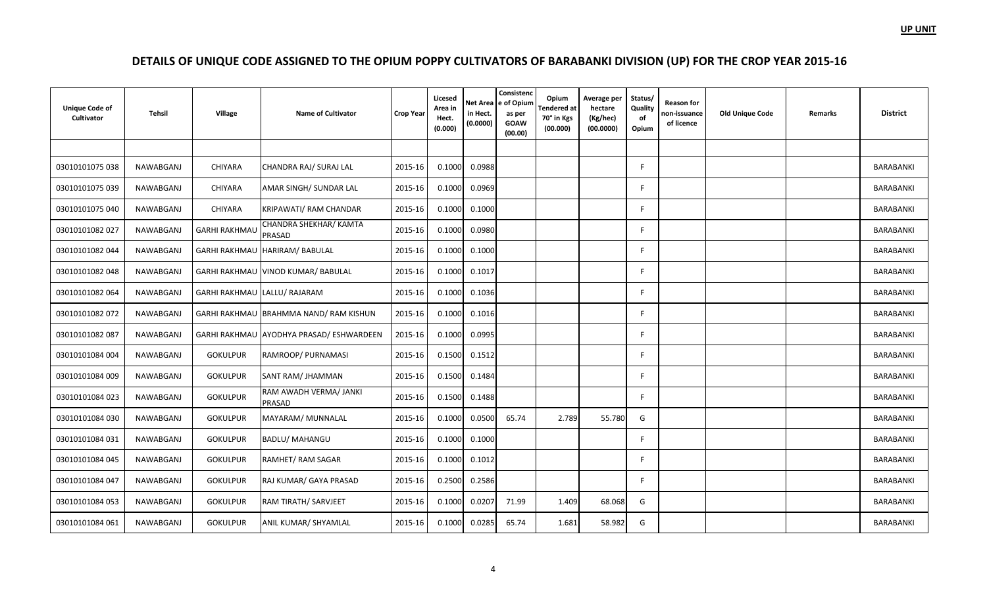| <b>Unique Code of</b><br>Cultivator | Tehsil           | Village              | <b>Name of Cultivator</b>                | <b>Crop Year</b> | Licesed<br>Area in<br>Hect.<br>(0.000) | Net Area<br>in Hect.<br>(0.0000) | Consistenc<br>e of Opium<br>as per<br><b>GOAW</b><br>(00.00) | Opium<br>Tendered at<br>70° in Kgs<br>(00.000) | Average per<br>hectare<br>(Kg/hec)<br>(00.0000) | Status/<br>Quality<br>of<br>Opium | <b>Reason for</b><br>non-issuance<br>of licence | <b>Old Unique Code</b> | Remarks | <b>District</b> |
|-------------------------------------|------------------|----------------------|------------------------------------------|------------------|----------------------------------------|----------------------------------|--------------------------------------------------------------|------------------------------------------------|-------------------------------------------------|-----------------------------------|-------------------------------------------------|------------------------|---------|-----------------|
|                                     |                  |                      |                                          |                  |                                        |                                  |                                                              |                                                |                                                 |                                   |                                                 |                        |         |                 |
| 03010101075 038                     | NAWABGANJ        | <b>CHIYARA</b>       | CHANDRA RAJ/ SURAJ LAL                   | 2015-16          | 0.1000                                 | 0.0988                           |                                                              |                                                |                                                 | E                                 |                                                 |                        |         | BARABANKI       |
| 03010101075 039                     | NAWABGANJ        | CHIYARA              | AMAR SINGH/ SUNDAR LAL                   | 2015-16          | 0.1000                                 | 0.0969                           |                                                              |                                                |                                                 | E                                 |                                                 |                        |         | BARABANKI       |
| 03010101075 040                     | NAWABGANJ        | CHIYARA              | KRIPAWATI/ RAM CHANDAR                   | 2015-16          | 0.1000                                 | 0.1000                           |                                                              |                                                |                                                 | F                                 |                                                 |                        |         | BARABANKI       |
| 03010101082 027                     | NAWABGANJ        | <b>GARHI RAKHMAU</b> | CHANDRA SHEKHAR/ KAMTA<br>PRASAD         | 2015-16          | 0.1000                                 | 0.0980                           |                                                              |                                                |                                                 | E                                 |                                                 |                        |         | BARABANKI       |
| 03010101082 044                     | NAWABGANJ        |                      | GARHI RAKHMAU HARIRAM/ BABULAL           | 2015-16          | 0.1000                                 | 0.1000                           |                                                              |                                                |                                                 | F                                 |                                                 |                        |         | BARABANKI       |
| 03010101082 048                     | NAWABGANJ        |                      | GARHI RAKHMAU VINOD KUMAR/ BABULAL       | 2015-16          | 0.1000                                 | 0.1017                           |                                                              |                                                |                                                 | E                                 |                                                 |                        |         | BARABANKI       |
| 03010101082 064                     | <b>NAWABGANJ</b> |                      | GARHI RAKHMAU LALLU/ RAJARAM             | 2015-16          | 0.1000                                 | 0.1036                           |                                                              |                                                |                                                 | F                                 |                                                 |                        |         | BARABANKI       |
| 03010101082 072                     | NAWABGANJ        |                      | GARHI RAKHMAU BRAHMMA NAND/ RAM KISHUN   | 2015-16          | 0.1000                                 | 0.1016                           |                                                              |                                                |                                                 | E                                 |                                                 |                        |         | BARABANKI       |
| 03010101082 087                     | NAWABGANJ        |                      | GARHI RAKHMAU AYODHYA PRASAD/ ESHWARDEEN | 2015-16          | 0.1000                                 | 0.0995                           |                                                              |                                                |                                                 | F                                 |                                                 |                        |         | BARABANKI       |
| 03010101084 004                     | NAWABGANJ        | <b>GOKULPUR</b>      | RAMROOP/ PURNAMASI                       | 2015-16          | 0.1500                                 | 0.1512                           |                                                              |                                                |                                                 | E                                 |                                                 |                        |         | BARABANKI       |
| 03010101084 009                     | NAWABGANJ        | <b>GOKULPUR</b>      | SANT RAM/ JHAMMAN                        | 2015-16          | 0.1500                                 | 0.1484                           |                                                              |                                                |                                                 | F                                 |                                                 |                        |         | BARABANKI       |
| 03010101084 023                     | NAWABGANJ        | <b>GOKULPUR</b>      | RAM AWADH VERMA/ JANKI<br>PRASAD         | 2015-16          | 0.1500                                 | 0.1488                           |                                                              |                                                |                                                 | E                                 |                                                 |                        |         | BARABANKI       |
| 03010101084 030                     | NAWABGANJ        | <b>GOKULPUR</b>      | MAYARAM/ MUNNALAL                        | 2015-16          | 0.1000                                 | 0.0500                           | 65.74                                                        | 2.789                                          | 55.780                                          | G                                 |                                                 |                        |         | BARABANKI       |
| 03010101084 031                     | NAWABGANJ        | <b>GOKULPUR</b>      | <b>BADLU/ MAHANGU</b>                    | 2015-16          | 0.1000                                 | 0.1000                           |                                                              |                                                |                                                 | E                                 |                                                 |                        |         | BARABANKI       |
| 03010101084 045                     | NAWABGANJ        | <b>GOKULPUR</b>      | RAMHET/RAM SAGAR                         | 2015-16          | 0.1000                                 | 0.1012                           |                                                              |                                                |                                                 | E                                 |                                                 |                        |         | BARABANKI       |
| 03010101084 047                     | NAWABGANJ        | <b>GOKULPUR</b>      | RAJ KUMAR/ GAYA PRASAD                   | 2015-16          | 0.2500                                 | 0.2586                           |                                                              |                                                |                                                 | E                                 |                                                 |                        |         | BARABANKI       |
| 03010101084 053                     | NAWABGANJ        | <b>GOKULPUR</b>      | RAM TIRATH/ SARVJEET                     | 2015-16          | 0.1000                                 | 0.0207                           | 71.99                                                        | 1.409                                          | 68.068                                          | G                                 |                                                 |                        |         | BARABANKI       |
| 03010101084 061                     | NAWABGANJ        | <b>GOKULPUR</b>      | ANIL KUMAR/ SHYAMLAL                     | 2015-16          | 0.1000                                 | 0.0285                           | 65.74                                                        | 1.681                                          | 58.982                                          | G                                 |                                                 |                        |         | BARABANKI       |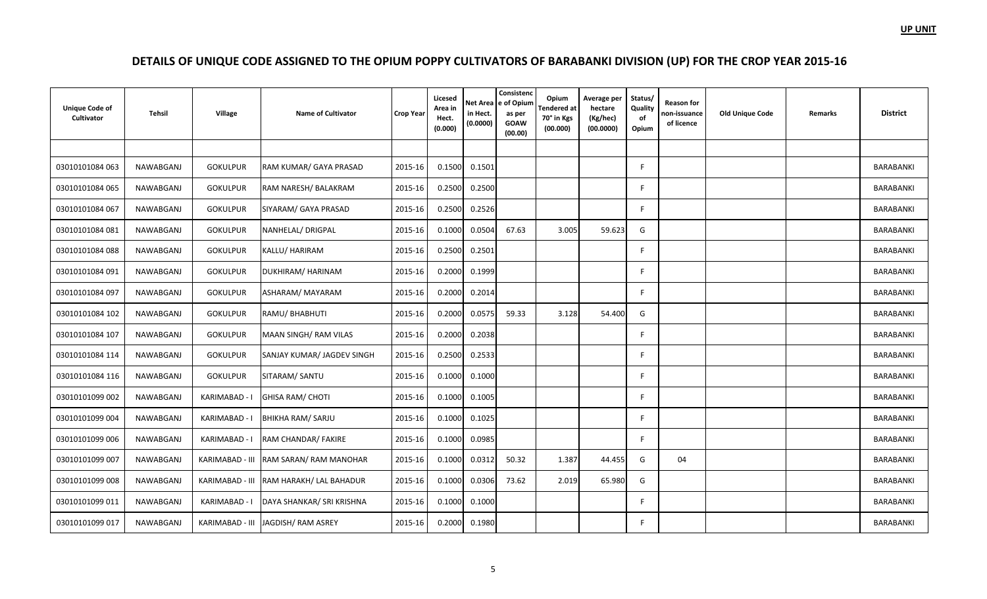| <b>Unique Code of</b><br>Cultivator | Tehsil           | Village         | <b>Name of Cultivator</b>            | <b>Crop Year</b> | Licesed<br>Area in<br>Hect.<br>(0.000) | Net Area<br>in Hect.<br>(0.0000) | Consistenc<br>e of Opium<br>as per<br><b>GOAW</b><br>(00.00) | Opium<br><b>Tendered</b> at<br>70° in Kgs<br>(00.000) | Average per<br>hectare<br>(Kg/hec)<br>(00.0000) | Status/<br>Quality<br>of<br>Opium | <b>Reason for</b><br>non-issuance<br>of licence | <b>Old Unique Code</b> | Remarks | <b>District</b> |
|-------------------------------------|------------------|-----------------|--------------------------------------|------------------|----------------------------------------|----------------------------------|--------------------------------------------------------------|-------------------------------------------------------|-------------------------------------------------|-----------------------------------|-------------------------------------------------|------------------------|---------|-----------------|
|                                     |                  |                 |                                      |                  |                                        |                                  |                                                              |                                                       |                                                 |                                   |                                                 |                        |         |                 |
| 03010101084 063                     | NAWABGANJ        | <b>GOKULPUR</b> | RAM KUMAR/ GAYA PRASAD               | 2015-16          | 0.1500                                 | 0.1501                           |                                                              |                                                       |                                                 |                                   |                                                 |                        |         | BARABANKI       |
| 03010101084 065                     | NAWABGANJ        | <b>GOKULPUR</b> | RAM NARESH/ BALAKRAM                 | 2015-16          | 0.2500                                 | 0.2500                           |                                                              |                                                       |                                                 | E                                 |                                                 |                        |         | BARABANKI       |
| 03010101084 067                     | NAWABGANJ        | <b>GOKULPUR</b> | SIYARAM/ GAYA PRASAD                 | 2015-16          | 0.2500                                 | 0.2526                           |                                                              |                                                       |                                                 |                                   |                                                 |                        |         | BARABANKI       |
| 03010101084 081                     | NAWABGANJ        | <b>GOKULPUR</b> | NANHELAL/ DRIGPAL                    | 2015-16          | 0.1000                                 | 0.0504                           | 67.63                                                        | 3.005                                                 | 59.623                                          | G                                 |                                                 |                        |         | BARABANKI       |
| 03010101084 088                     | NAWABGANJ        | <b>GOKULPUR</b> | KALLU/ HARIRAM                       | 2015-16          | 0.2500                                 | 0.2501                           |                                                              |                                                       |                                                 | F                                 |                                                 |                        |         | BARABANKI       |
| 03010101084 091                     | NAWABGANJ        | <b>GOKULPUR</b> | DUKHIRAM/ HARINAM                    | 2015-16          | 0.2000                                 | 0.1999                           |                                                              |                                                       |                                                 | F                                 |                                                 |                        |         | BARABANKI       |
| 03010101084 097                     | <b>NAWABGANJ</b> | <b>GOKULPUR</b> | ASHARAM/ MAYARAM                     | 2015-16          | 0.2000                                 | 0.2014                           |                                                              |                                                       |                                                 | F                                 |                                                 |                        |         | BARABANKI       |
| 03010101084 102                     | NAWABGANJ        | <b>GOKULPUR</b> | RAMU/ BHABHUTI                       | 2015-16          | 0.2000                                 | 0.0575                           | 59.33                                                        | 3.128                                                 | 54.400                                          | G                                 |                                                 |                        |         | BARABANKI       |
| 03010101084 107                     | <b>NAWABGANJ</b> | <b>GOKULPUR</b> | MAAN SINGH/ RAM VILAS                | 2015-16          | 0.2000                                 | 0.2038                           |                                                              |                                                       |                                                 | F                                 |                                                 |                        |         | BARABANKI       |
| 03010101084 114                     | NAWABGANJ        | <b>GOKULPUR</b> | SANJAY KUMAR/ JAGDEV SINGH           | 2015-16          | 0.2500                                 | 0.2533                           |                                                              |                                                       |                                                 | F                                 |                                                 |                        |         | BARABANKI       |
| 03010101084 116                     | NAWABGANJ        | <b>GOKULPUR</b> | SITARAM/ SANTU                       | 2015-16          | 0.1000                                 | 0.1000                           |                                                              |                                                       |                                                 | F                                 |                                                 |                        |         | BARABANKI       |
| 03010101099 002                     | NAWABGANJ        | KARIMABAD -     | GHISA RAM/ CHOTI                     | 2015-16          | 0.1000                                 | 0.1005                           |                                                              |                                                       |                                                 | E                                 |                                                 |                        |         | BARABANKI       |
| 03010101099 004                     | NAWABGANJ        | KARIMABAD - I   | BHIKHA RAM/ SARJU                    | 2015-16          | 0.1000                                 | 0.1025                           |                                                              |                                                       |                                                 | F                                 |                                                 |                        |         | BARABANKI       |
| 03010101099 006                     | NAWABGANJ        | KARIMABAD - I   | RAM CHANDAR/ FAKIRE                  | 2015-16          | 0.1000                                 | 0.0985                           |                                                              |                                                       |                                                 | E                                 |                                                 |                        |         | BARABANKI       |
| 03010101099 007                     | NAWABGANJ        | KARIMABAD - III | RAM SARAN/ RAM MANOHAR               | 2015-16          | 0.1000                                 | 0.0312                           | 50.32                                                        | 1.387                                                 | 44.455                                          | G                                 | 04                                              |                        |         | BARABANKI       |
| 03010101099 008                     | NAWABGANJ        | KARIMABAD - III | RAM HARAKH/ LAL BAHADUR              | 2015-16          | 0.1000                                 | 0.0306                           | 73.62                                                        | 2.019                                                 | 65.980                                          | G                                 |                                                 |                        |         | BARABANKI       |
| 03010101099 011                     | NAWABGANJ        | KARIMABAD - I   | DAYA SHANKAR/ SRI KRISHNA            | 2015-16          | 0.1000                                 | 0.1000                           |                                                              |                                                       |                                                 | F                                 |                                                 |                        |         | BARABANKI       |
| 03010101099 017                     | NAWABGANJ        |                 | KARIMABAD - III   JAGDISH/ RAM ASREY | 2015-16          | 0.2000                                 | 0.1980                           |                                                              |                                                       |                                                 | F                                 |                                                 |                        |         | BARABANKI       |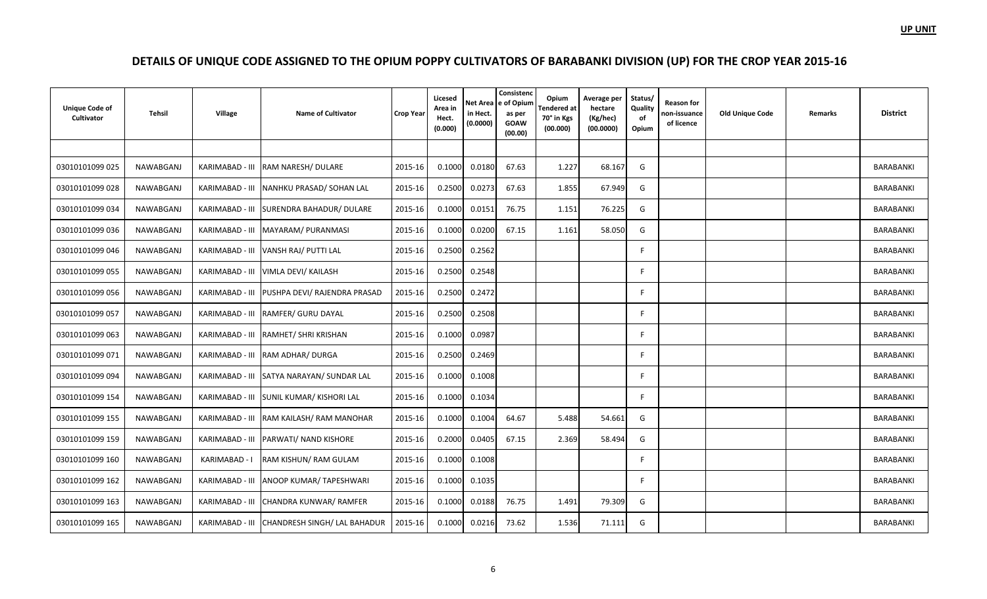| <b>Unique Code of</b><br>Cultivator | <b>Tehsil</b> | Village       | <b>Name of Cultivator</b>                    | <b>Crop Year</b> | Licesed<br>Area in<br>Hect.<br>(0.000) | in Hect.<br>(0.0000) | Consistenc<br>Net Area e of Opium<br>as per<br><b>GOAW</b><br>(00.00) | Opium<br>endered at<br>70° in Kgs<br>(00.000) | Average per<br>hectare<br>(Kg/hec)<br>(00.0000) | Status/<br>Quality<br>of<br>Opium | <b>Reason for</b><br>non-issuance<br>of licence | <b>Old Unique Code</b> | Remarks | <b>District</b> |
|-------------------------------------|---------------|---------------|----------------------------------------------|------------------|----------------------------------------|----------------------|-----------------------------------------------------------------------|-----------------------------------------------|-------------------------------------------------|-----------------------------------|-------------------------------------------------|------------------------|---------|-----------------|
|                                     |               |               |                                              |                  |                                        |                      |                                                                       |                                               |                                                 |                                   |                                                 |                        |         |                 |
| 03010101099 025                     | NAWABGANJ     |               | KARIMABAD - III RAM NARESH/ DULARE           | 2015-16          | 0.1000                                 | 0.0180               | 67.63                                                                 | 1.227                                         | 68.167                                          | G                                 |                                                 |                        |         | BARABANKI       |
| 03010101099 028                     | NAWABGANJ     |               | KARIMABAD - III NANHKU PRASAD/SOHAN LAL      | 2015-16          | 0.2500                                 | 0.0273               | 67.63                                                                 | 1.855                                         | 67.949                                          | G                                 |                                                 |                        |         | BARABANKI       |
| 03010101099 034                     | NAWABGANJ     |               | KARIMABAD - III SURENDRA BAHADUR/ DULARE     | 2015-16          | 0.1000                                 | 0.0151               | 76.75                                                                 | 1.151                                         | 76.225                                          | G                                 |                                                 |                        |         | BARABANKI       |
| 03010101099 036                     | NAWABGANJ     |               | KARIMABAD - III MAYARAM/ PURANMASI           | 2015-16          | 0.1000                                 | 0.0200               | 67.15                                                                 | 1.161                                         | 58.050                                          | G                                 |                                                 |                        |         | BARABANKI       |
| 03010101099 046                     | NAWABGANJ     |               | KARIMABAD - III VANSH RAJ/ PUTTI LAL         | 2015-16          | 0.2500                                 | 0.2562               |                                                                       |                                               |                                                 | F                                 |                                                 |                        |         | BARABANKI       |
| 03010101099 055                     | NAWABGANJ     |               | KARIMABAD - III VIMLA DEVI/ KAILASH          | 2015-16          | 0.2500                                 | 0.2548               |                                                                       |                                               |                                                 | F                                 |                                                 |                        |         | BARABANKI       |
| 03010101099 056                     | NAWABGANJ     |               | KARIMABAD - III PUSHPA DEVI/ RAJENDRA PRASAD | 2015-16          | 0.2500                                 | 0.2472               |                                                                       |                                               |                                                 | F                                 |                                                 |                        |         | BARABANKI       |
| 03010101099 057                     | NAWABGANJ     |               | KARIMABAD - III RAMFER/ GURU DAYAL           | 2015-16          | 0.2500                                 | 0.2508               |                                                                       |                                               |                                                 | F                                 |                                                 |                        |         | BARABANKI       |
| 03010101099 063                     | NAWABGANJ     |               | KARIMABAD - III RAMHET/ SHRI KRISHAN         | 2015-16          | 0.1000                                 | 0.0987               |                                                                       |                                               |                                                 |                                   |                                                 |                        |         | BARABANKI       |
| 03010101099 071                     | NAWABGANJ     |               | KARIMABAD - III RAM ADHAR/ DURGA             | 2015-16          | 0.2500                                 | 0.2469               |                                                                       |                                               |                                                 | F                                 |                                                 |                        |         | BARABANKI       |
| 03010101099 094                     | NAWABGANJ     |               | KARIMABAD - III SATYA NARAYAN/ SUNDAR LAL    | 2015-16          | 0.1000                                 | 0.1008               |                                                                       |                                               |                                                 | F                                 |                                                 |                        |         | BARABANKI       |
| 03010101099 154                     | NAWABGANJ     |               | KARIMABAD - III SUNIL KUMAR/ KISHORI LAL     | 2015-16          | 0.1000                                 | 0.1034               |                                                                       |                                               |                                                 | F                                 |                                                 |                        |         | BARABANKI       |
| 03010101099 155                     | NAWABGANJ     |               | KARIMABAD - III RAM KAILASH/RAM MANOHAR      | 2015-16          | 0.1000                                 | 0.1004               | 64.67                                                                 | 5.488                                         | 54.661                                          | G                                 |                                                 |                        |         | BARABANKI       |
| 03010101099 159                     | NAWABGANJ     |               | KARIMABAD - III   PARWATI/ NAND KISHORE      | 2015-16          | 0.2000                                 | 0.0405               | 67.15                                                                 | 2.369                                         | 58.494                                          | G                                 |                                                 |                        |         | BARABANKI       |
| 03010101099 160                     | NAWABGANJ     | KARIMABAD - I | RAM KISHUN/ RAM GULAM                        | 2015-16          | 0.1000                                 | 0.1008               |                                                                       |                                               |                                                 |                                   |                                                 |                        |         | BARABANKI       |
| 03010101099 162                     | NAWABGANJ     |               | KARIMABAD - III ANOOP KUMAR/TAPESHWARI       | 2015-16          | 0.1000                                 | 0.1035               |                                                                       |                                               |                                                 | F                                 |                                                 |                        |         | BARABANKI       |
| 03010101099 163                     | NAWABGANJ     |               | KARIMABAD - III CHANDRA KUNWAR/ RAMFER       | 2015-16          | 0.1000                                 | 0.0188               | 76.75                                                                 | 1.491                                         | 79.309                                          | G                                 |                                                 |                        |         | BARABANKI       |
| 03010101099 165                     | NAWABGANJ     |               | KARIMABAD - III CHANDRESH SINGH/ LAL BAHADUR | 2015-16          | 0.1000                                 | 0.0216               | 73.62                                                                 | 1.536                                         | 71.111                                          | G                                 |                                                 |                        |         | BARABANKI       |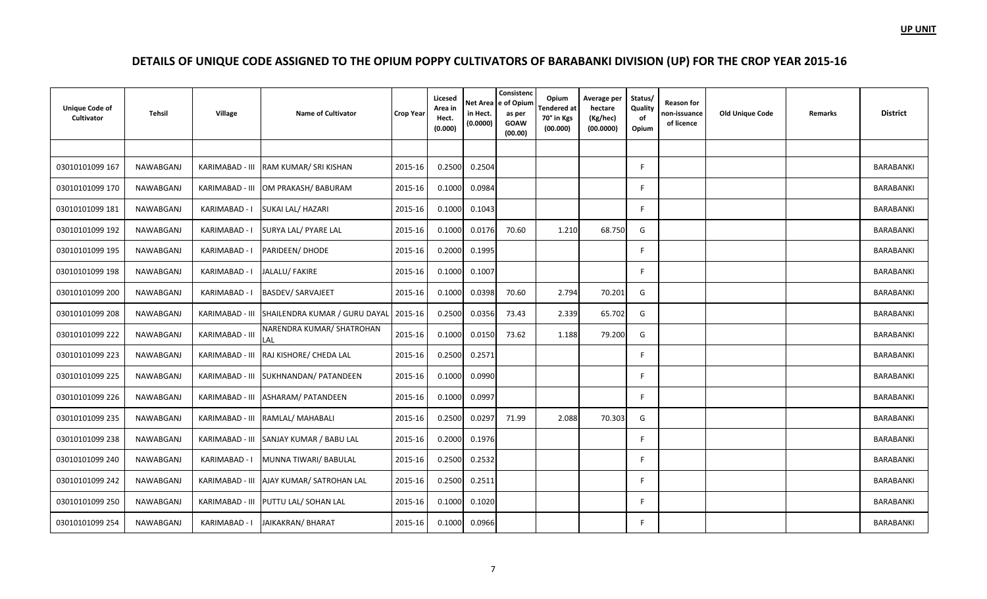| <b>Unique Code of</b><br>Cultivator | Tehsil           | Village         | <b>Name of Cultivator</b>                             | <b>Crop Year</b> | Licesed<br>Area in<br>Hect.<br>(0.000) | Net Area<br>in Hect.<br>(0.0000) | Consistenc<br>e of Opium<br>as per<br><b>GOAW</b><br>(00.00) | Opium<br>Tendered at<br>70° in Kgs<br>(00.000) | Average per<br>hectare<br>(Kg/hec)<br>(00.0000) | Status/<br>Quality<br>of<br>Opium | <b>Reason for</b><br>non-issuance<br>of licence | Old Unique Code | <b>Remarks</b> | <b>District</b>  |
|-------------------------------------|------------------|-----------------|-------------------------------------------------------|------------------|----------------------------------------|----------------------------------|--------------------------------------------------------------|------------------------------------------------|-------------------------------------------------|-----------------------------------|-------------------------------------------------|-----------------|----------------|------------------|
|                                     |                  |                 |                                                       |                  |                                        |                                  |                                                              |                                                |                                                 |                                   |                                                 |                 |                |                  |
| 03010101099 167                     | <b>NAWABGANJ</b> |                 | KARIMABAD - III RAM KUMAR/ SRI KISHAN                 | 2015-16          | 0.2500                                 | 0.2504                           |                                                              |                                                |                                                 | F                                 |                                                 |                 |                | BARABANKI        |
| 03010101099 170                     | NAWABGANJ        |                 | KARIMABAD - III OM PRAKASH/ BABURAM                   | 2015-16          | 0.1000                                 | 0.0984                           |                                                              |                                                |                                                 | F                                 |                                                 |                 |                | BARABANKI        |
| 03010101099 181                     | NAWABGANJ        | KARIMABAD - I   | SUKAI LAL/ HAZARI                                     | 2015-16          | 0.1000                                 | 0.1043                           |                                                              |                                                |                                                 | F                                 |                                                 |                 |                | BARABANKI        |
| 03010101099 192                     | NAWABGANJ        | KARIMABAD - I   | SURYA LAL/ PYARE LAL                                  | 2015-16          | 0.1000                                 | 0.0176                           | 70.60                                                        | 1.210                                          | 68.750                                          | G                                 |                                                 |                 |                | <b>BARABANKI</b> |
| 03010101099 195                     | NAWABGANJ        | KARIMABAD - I   | PARIDEEN/ DHODE                                       | 2015-16          | 0.2000                                 | 0.1995                           |                                                              |                                                |                                                 | F                                 |                                                 |                 |                | <b>BARABANKI</b> |
| 03010101099 198                     | NAWABGANJ        | KARIMABAD - I   | JALALU/ FAKIRE                                        | 2015-16          | 0.1000                                 | 0.1007                           |                                                              |                                                |                                                 | E                                 |                                                 |                 |                | BARABANKI        |
| 03010101099 200                     | <b>NAWABGANJ</b> | KARIMABAD - I   | <b>BASDEV/ SARVAJEET</b>                              | 2015-16          | 0.1000                                 | 0.0398                           | 70.60                                                        | 2.794                                          | 70.201                                          | G                                 |                                                 |                 |                | BARABANKI        |
| 03010101099 208                     | NAWABGANJ        |                 | KARIMABAD - III SHAILENDRA KUMAR / GURU DAYAL 2015-16 |                  | 0.2500                                 | 0.0356                           | 73.43                                                        | 2.339                                          | 65.702                                          | G                                 |                                                 |                 |                | BARABANKI        |
| 03010101099 222                     | NAWABGANJ        | KARIMABAD - III | NARENDRA KUMAR/ SHATROHAN<br><b>LAL</b>               | 2015-16          | 0.1000                                 | 0.0150                           | 73.62                                                        | 1.188                                          | 79.200                                          | G                                 |                                                 |                 |                | BARABANKI        |
| 03010101099 223                     | NAWABGANJ        |                 | KARIMABAD - III RAJ KISHORE/ CHEDA LAL                | 2015-16          | 0.2500                                 | 0.2571                           |                                                              |                                                |                                                 | E                                 |                                                 |                 |                | <b>BARABANKI</b> |
| 03010101099 225                     | NAWABGANJ        |                 | KARIMABAD - III SUKHNANDAN/ PATANDEEN                 | 2015-16          | 0.1000                                 | 0.0990                           |                                                              |                                                |                                                 | F                                 |                                                 |                 |                | BARABANKI        |
| 03010101099 226                     | NAWABGANJ        |                 | KARIMABAD - III ASHARAM/ PATANDEEN                    | 2015-16          | 0.1000                                 | 0.0997                           |                                                              |                                                |                                                 | E                                 |                                                 |                 |                | BARABANKI        |
| 03010101099 235                     | NAWABGANJ        |                 | KARIMABAD - III RAMLAL/ MAHABALI                      | 2015-16          | 0.2500                                 | 0.0297                           | 71.99                                                        | 2.088                                          | 70.303                                          | G                                 |                                                 |                 |                | BARABANKI        |
| 03010101099 238                     | NAWABGANJ        |                 | KARIMABAD - III SANJAY KUMAR / BABU LAL               | 2015-16          | 0.2000                                 | 0.1976                           |                                                              |                                                |                                                 | F                                 |                                                 |                 |                | BARABANKI        |
| 03010101099 240                     | NAWABGANJ        | KARIMABAD - I   | MUNNA TIWARI/ BABULAL                                 | 2015-16          | 0.2500                                 | 0.2532                           |                                                              |                                                |                                                 | F                                 |                                                 |                 |                | BARABANKI        |
| 03010101099 242                     | NAWABGANJ        |                 | KARIMABAD - III AJAY KUMAR/ SATROHAN LAL              | 2015-16          | 0.2500                                 | 0.2511                           |                                                              |                                                |                                                 | E                                 |                                                 |                 |                | <b>BARABANKI</b> |
| 03010101099 250                     | NAWABGANJ        |                 | KARIMABAD - III   PUTTU LAL/ SOHAN LAL                | 2015-16          | 0.1000                                 | 0.1020                           |                                                              |                                                |                                                 | F                                 |                                                 |                 |                | <b>BARABANKI</b> |
| 03010101099 254                     | <b>NAWABGANJ</b> |                 | KARIMABAD - I JAIKAKRAN/ BHARAT                       | 2015-16          | 0.1000                                 | 0.0966                           |                                                              |                                                |                                                 | F                                 |                                                 |                 |                | BARABANKI        |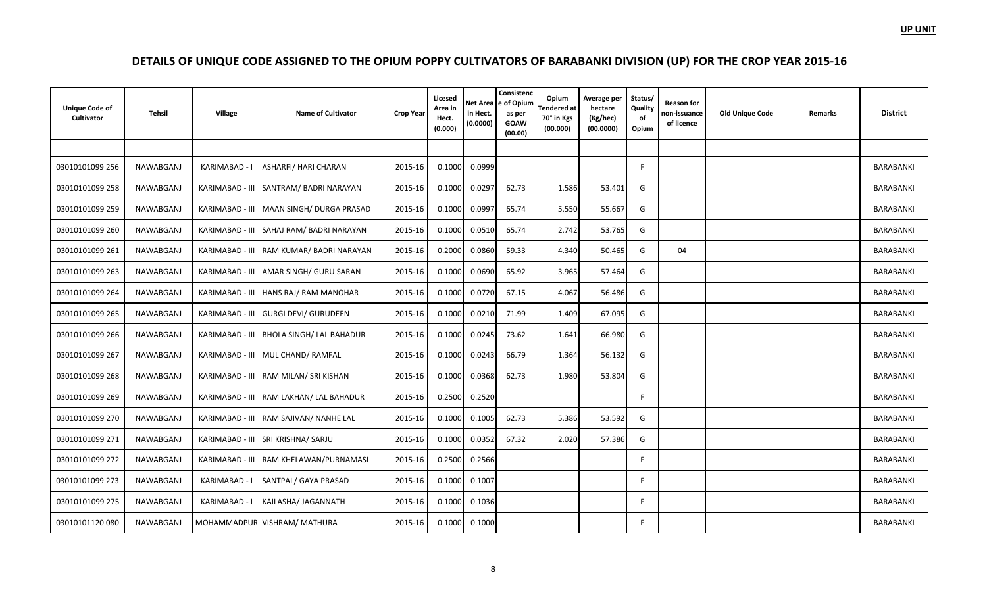| <b>Unique Code of</b><br>Cultivator | Tehsil    | Village         | <b>Name of Cultivator</b>                | <b>Crop Year</b> | Licesed<br>Area in<br>Hect.<br>(0.000) | in Hect.<br>(0.0000) | Consistenc<br>Net Area e of Opium<br>as per<br><b>GOAW</b><br>(00.00) | Opium<br><b>Tendered</b> at<br>70° in Kgs<br>(00.000) | Average per<br>hectare<br>(Kg/hec)<br>(00.0000) | Status/<br>Quality<br>of<br>Opium | Reason for<br>non-issuance<br>of licence | <b>Old Unique Code</b> | Remarks | <b>District</b>  |
|-------------------------------------|-----------|-----------------|------------------------------------------|------------------|----------------------------------------|----------------------|-----------------------------------------------------------------------|-------------------------------------------------------|-------------------------------------------------|-----------------------------------|------------------------------------------|------------------------|---------|------------------|
|                                     |           |                 |                                          |                  |                                        |                      |                                                                       |                                                       |                                                 |                                   |                                          |                        |         |                  |
| 03010101099 256                     | NAWABGANJ | KARIMABAD -     | <b>ASHARFI/ HARI CHARAN</b>              | 2015-16          | 0.1000                                 | 0.0999               |                                                                       |                                                       |                                                 | E                                 |                                          |                        |         | BARABANKI        |
| 03010101099 258                     | NAWABGANJ |                 | KARIMABAD - III SANTRAM/ BADRI NARAYAN   | 2015-16          | 0.1000                                 | 0.0297               | 62.73                                                                 | 1.586                                                 | 53.401                                          | G                                 |                                          |                        |         | <b>BARABANKI</b> |
| 03010101099 259                     | NAWABGANJ | KARIMABAD - III | MAAN SINGH/DURGA PRASAD                  | 2015-16          | 0.1000                                 | 0.0997               | 65.74                                                                 | 5.550                                                 | 55.667                                          | G                                 |                                          |                        |         | <b>BARABANKI</b> |
| 03010101099 260                     | NAWABGANJ |                 | KARIMABAD - III SAHAJ RAM/BADRI NARAYAN  | 2015-16          | 0.1000                                 | 0.0510               | 65.74                                                                 | 2.742                                                 | 53.765                                          | G                                 |                                          |                        |         | BARABANKI        |
| 03010101099 261                     | NAWABGANJ |                 | KARIMABAD - III RAM KUMAR/BADRI NARAYAN  | 2015-16          | 0.2000                                 | 0.0860               | 59.33                                                                 | 4.340                                                 | 50.465                                          | G                                 | 04                                       |                        |         | BARABANKI        |
| 03010101099 263                     | NAWABGANJ |                 | KARIMABAD - III AMAR SINGH/ GURU SARAN   | 2015-16          | 0.1000                                 | 0.0690               | 65.92                                                                 | 3.965                                                 | 57.464                                          | G                                 |                                          |                        |         | BARABANKI        |
| 03010101099 264                     | NAWABGANJ |                 | KARIMABAD - III HANS RAJ/ RAM MANOHAR    | 2015-16          | 0.1000                                 | 0.0720               | 67.15                                                                 | 4.067                                                 | 56.486                                          | G                                 |                                          |                        |         | <b>BARABANKI</b> |
| 03010101099 265                     | NAWABGANJ |                 | KARIMABAD - III GURGI DEVI/ GURUDEEN     | 2015-16          | 0.1000                                 | 0.0210               | 71.99                                                                 | 1.409                                                 | 67.095                                          | G                                 |                                          |                        |         | <b>BARABANKI</b> |
| 03010101099 266                     | NAWABGANJ |                 | KARIMABAD - III BHOLA SINGH/ LAL BAHADUR | 2015-16          | 0.1000                                 | 0.0245               | 73.62                                                                 | 1.641                                                 | 66.980                                          | G                                 |                                          |                        |         | BARABANKI        |
| 03010101099 267                     | NAWABGANJ |                 | KARIMABAD - III MUL CHAND/RAMFAL         | 2015-16          | 0.1000                                 | 0.0243               | 66.79                                                                 | 1.364                                                 | 56.132                                          | G                                 |                                          |                        |         | BARABANKI        |
| 03010101099 268                     | NAWABGANJ |                 | KARIMABAD - III RAM MILAN/ SRI KISHAN    | 2015-16          | 0.1000                                 | 0.0368               | 62.73                                                                 | 1.980                                                 | 53.804                                          | G                                 |                                          |                        |         | BARABANKI        |
| 03010101099 269                     | NAWABGANJ |                 | KARIMABAD - III RAM LAKHAN/ LAL BAHADUR  | 2015-16          | 0.2500                                 | 0.2520               |                                                                       |                                                       |                                                 | F                                 |                                          |                        |         | <b>BARABANKI</b> |
| 03010101099 270                     | NAWABGANJ |                 | KARIMABAD - III RAM SAJIVAN/ NANHE LAL   | 2015-16          | 0.1000                                 | 0.1005               | 62.73                                                                 | 5.386                                                 | 53.592                                          | G                                 |                                          |                        |         | <b>BARABANKI</b> |
| 03010101099 271                     | NAWABGANJ |                 | KARIMABAD - III SRI KRISHNA/ SARJU       | 2015-16          | 0.1000                                 | 0.0352               | 67.32                                                                 | 2.020                                                 | 57.386                                          | G                                 |                                          |                        |         | BARABANKI        |
| 03010101099 272                     | NAWABGANJ |                 | KARIMABAD - III RAM KHELAWAN/PURNAMASI   | 2015-16          | 0.2500                                 | 0.2566               |                                                                       |                                                       |                                                 | -F                                |                                          |                        |         | BARABANKI        |
| 03010101099 273                     | NAWABGANJ | KARIMABAD - I   | SANTPAL/ GAYA PRASAD                     | 2015-16          | 0.1000                                 | 0.1007               |                                                                       |                                                       |                                                 | F                                 |                                          |                        |         | BARABANKI        |
| 03010101099 275                     | NAWABGANJ | KARIMABAD - I   | KAILASHA/ JAGANNATH                      | 2015-16          | 0.1000                                 | 0.1036               |                                                                       |                                                       |                                                 | F.                                |                                          |                        |         | BARABANKI        |
| 03010101120080                      | NAWABGANJ |                 | MOHAMMADPUR VISHRAM/ MATHURA             | 2015-16          | 0.1000                                 | 0.1000               |                                                                       |                                                       |                                                 | F.                                |                                          |                        |         | <b>BARABANKI</b> |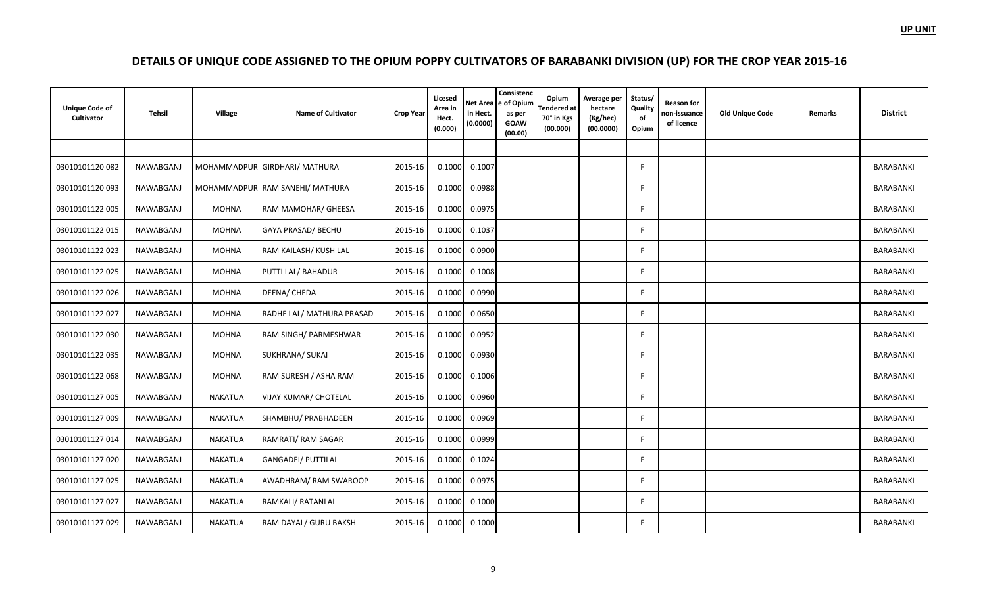| <b>Unique Code of</b><br>Cultivator | Tehsil    | Village        | <b>Name of Cultivator</b>       | <b>Crop Year</b> | Licesed<br>Area in<br>Hect.<br>(0.000) | in Hect.<br>(0.0000) | Consistenc<br>Net Area e of Opium<br>as per<br><b>GOAW</b><br>(00.00) | Opium<br><b>Tendered</b> at<br>70° in Kgs<br>(00.000) | Average per<br>hectare<br>(Kg/hec)<br>(00.0000) | Status/<br>Quality<br>of<br>Opium | <b>Reason for</b><br>non-issuance<br>of licence | <b>Old Unique Code</b> | Remarks | <b>District</b> |
|-------------------------------------|-----------|----------------|---------------------------------|------------------|----------------------------------------|----------------------|-----------------------------------------------------------------------|-------------------------------------------------------|-------------------------------------------------|-----------------------------------|-------------------------------------------------|------------------------|---------|-----------------|
|                                     |           |                |                                 |                  |                                        |                      |                                                                       |                                                       |                                                 |                                   |                                                 |                        |         |                 |
| 03010101120082                      | NAWABGANJ |                | MOHAMMADPUR GIRDHARI/ MATHURA   | 2015-16          | 0.1000                                 | 0.1007               |                                                                       |                                                       |                                                 | F                                 |                                                 |                        |         | BARABANKI       |
| 03010101120093                      | NAWABGANJ |                | MOHAMMADPUR RAM SANEHI/ MATHURA | 2015-16          | 0.1000                                 | 0.0988               |                                                                       |                                                       |                                                 | F.                                |                                                 |                        |         | BARABANKI       |
| 03010101122 005                     | NAWABGANJ | <b>MOHNA</b>   | RAM MAMOHAR/ GHEESA             | 2015-16          | 0.1000                                 | 0.0975               |                                                                       |                                                       |                                                 | E                                 |                                                 |                        |         | BARABANKI       |
| 03010101122 015                     | NAWABGANJ | <b>MOHNA</b>   | GAYA PRASAD/ BECHU              | 2015-16          | 0.1000                                 | 0.1037               |                                                                       |                                                       |                                                 | F.                                |                                                 |                        |         | BARABANKI       |
| 03010101122 023                     | NAWABGANJ | <b>MOHNA</b>   | RAM KAILASH/ KUSH LAL           | 2015-16          | 0.1000                                 | 0.0900               |                                                                       |                                                       |                                                 | E                                 |                                                 |                        |         | BARABANKI       |
| 03010101122 025                     | NAWABGANJ | <b>MOHNA</b>   | PUTTI LAL/ BAHADUR              | 2015-16          | 0.1000                                 | 0.1008               |                                                                       |                                                       |                                                 | F.                                |                                                 |                        |         | BARABANKI       |
| 03010101122 026                     | NAWABGANJ | <b>MOHNA</b>   | DEENA/ CHEDA                    | 2015-16          | 0.1000                                 | 0.0990               |                                                                       |                                                       |                                                 | F                                 |                                                 |                        |         | BARABANKI       |
| 03010101122027                      | NAWABGANJ | <b>MOHNA</b>   | RADHE LAL/ MATHURA PRASAD       | 2015-16          | 0.1000                                 | 0.0650               |                                                                       |                                                       |                                                 | F                                 |                                                 |                        |         | BARABANKI       |
| 03010101122030                      | NAWABGANJ | <b>MOHNA</b>   | RAM SINGH/ PARMESHWAR           | 2015-16          | 0.1000                                 | 0.0952               |                                                                       |                                                       |                                                 | F                                 |                                                 |                        |         | BARABANKI       |
| 03010101122 035                     | NAWABGANJ | <b>MOHNA</b>   | SUKHRANA/ SUKAI                 | 2015-16          | 0.1000                                 | 0.0930               |                                                                       |                                                       |                                                 | F                                 |                                                 |                        |         | BARABANKI       |
| 03010101122 068                     | NAWABGANJ | <b>MOHNA</b>   | RAM SURESH / ASHA RAM           | 2015-16          | 0.1000                                 | 0.1006               |                                                                       |                                                       |                                                 | F                                 |                                                 |                        |         | BARABANKI       |
| 03010101127 005                     | NAWABGANJ | <b>NAKATUA</b> | <b>VIJAY KUMAR/ CHOTELAL</b>    | 2015-16          | 0.1000                                 | 0.0960               |                                                                       |                                                       |                                                 | F.                                |                                                 |                        |         | BARABANKI       |
| 03010101127 009                     | NAWABGANJ | <b>NAKATUA</b> | SHAMBHU/ PRABHADEEN             | 2015-16          | 0.1000                                 | 0.0969               |                                                                       |                                                       |                                                 | F                                 |                                                 |                        |         | BARABANKI       |
| 03010101127014                      | NAWABGANJ | <b>NAKATUA</b> | RAMRATI/ RAM SAGAR              | 2015-16          | 0.1000                                 | 0.0999               |                                                                       |                                                       |                                                 | F.                                |                                                 |                        |         | BARABANKI       |
| 03010101127020                      | NAWABGANJ | <b>NAKATUA</b> | <b>GANGADEI/ PUTTILAL</b>       | 2015-16          | 0.1000                                 | 0.1024               |                                                                       |                                                       |                                                 | F.                                |                                                 |                        |         | BARABANKI       |
| 03010101127 025                     | NAWABGANJ | NAKATUA        | AWADHRAM/ RAM SWAROOP           | 2015-16          | 0.1000                                 | 0.0975               |                                                                       |                                                       |                                                 | F                                 |                                                 |                        |         | BARABANKI       |
| 03010101127 027                     | NAWABGANJ | <b>NAKATUA</b> | RAMKALI/ RATANLAL               | 2015-16          | 0.1000                                 | 0.1000               |                                                                       |                                                       |                                                 | F                                 |                                                 |                        |         | BARABANKI       |
| 03010101127 029                     | NAWABGANJ | <b>NAKATUA</b> | RAM DAYAL/ GURU BAKSH           | 2015-16          | 0.1000                                 | 0.1000               |                                                                       |                                                       |                                                 | F.                                |                                                 |                        |         | BARABANKI       |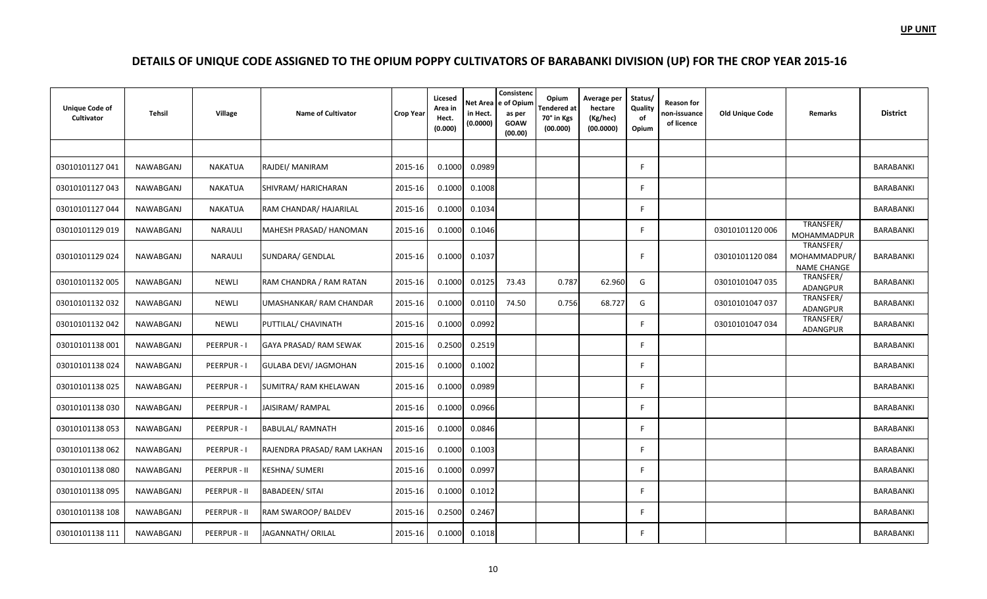| <b>Unique Code of</b><br>Cultivator | <b>Tehsil</b> | Village        | <b>Name of Cultivator</b>    | <b>Crop Year</b> | Licesed<br>Area in<br>Hect.<br>(0.000) | Net Area<br>in Hect.<br>(0.0000) | Consistenc<br>e of Opium<br>as per<br><b>GOAW</b><br>(00.00) | Opium<br>Tendered at<br>70° in Kgs<br>(00.000) | Average per<br>hectare<br>(Kg/hec)<br>(00.0000) | Status/<br>Quality<br>of<br>Opium | Reason for<br>non-issuance<br>of licence | <b>Old Unique Code</b> | <b>Remarks</b>                                  | <b>District</b>  |
|-------------------------------------|---------------|----------------|------------------------------|------------------|----------------------------------------|----------------------------------|--------------------------------------------------------------|------------------------------------------------|-------------------------------------------------|-----------------------------------|------------------------------------------|------------------------|-------------------------------------------------|------------------|
|                                     |               |                |                              |                  |                                        |                                  |                                                              |                                                |                                                 |                                   |                                          |                        |                                                 |                  |
| 03010101127041                      | NAWABGANJ     | <b>NAKATUA</b> | RAJDEI/ MANIRAM              | 2015-16          | 0.1000                                 | 0.0989                           |                                                              |                                                |                                                 | F                                 |                                          |                        |                                                 | BARABANKI        |
| 03010101127043                      | NAWABGANJ     | <b>NAKATUA</b> | SHIVRAM/ HARICHARAN          | 2015-16          | 0.1000                                 | 0.1008                           |                                                              |                                                |                                                 | F                                 |                                          |                        |                                                 | BARABANKI        |
| 03010101127044                      | NAWABGANJ     | <b>NAKATUA</b> | RAM CHANDAR/ HAJARILAL       | 2015-16          | 0.1000                                 | 0.1034                           |                                                              |                                                |                                                 | F.                                |                                          |                        |                                                 | <b>BARABANKI</b> |
| 03010101129 019                     | NAWABGANJ     | <b>NARAULI</b> | MAHESH PRASAD/ HANOMAN       | 2015-16          | 0.1000                                 | 0.1046                           |                                                              |                                                |                                                 | E                                 |                                          | 03010101120 006        | TRANSFER/<br>MOHAMMADPUR                        | BARABANKI        |
| 03010101129024                      | NAWABGANJ     | <b>NARAULI</b> | SUNDARA/ GENDLAL             | 2015-16          | 0.1000                                 | 0.1037                           |                                                              |                                                |                                                 | Е                                 |                                          | 03010101120084         | TRANSFER/<br>MOHAMMADPUR/<br><b>NAME CHANGE</b> | BARABANKI        |
| 03010101132 005                     | NAWABGANJ     | <b>NEWLI</b>   | RAM CHANDRA / RAM RATAN      | 2015-16          | 0.1000                                 | 0.0125                           | 73.43                                                        | 0.787                                          | 62.960                                          | G                                 |                                          | 03010101047 035        | TRANSFER/<br><b>ADANGPUR</b>                    | BARABANKI        |
| 03010101132032                      | NAWABGANJ     | <b>NEWLI</b>   | UMASHANKAR/ RAM CHANDAR      | 2015-16          | 0.1000                                 | 0.0110                           | 74.50                                                        | 0.756                                          | 68.727                                          | G                                 |                                          | 03010101047 037        | TRANSFER/<br>ADANGPUR                           | BARABANKI        |
| 03010101132 042                     | NAWABGANJ     | <b>NEWLI</b>   | PUTTILAL/ CHAVINATH          | 2015-16          | 0.1000                                 | 0.0992                           |                                                              |                                                |                                                 | F                                 |                                          | 03010101047 034        | TRANSFER/<br>ADANGPUR                           | <b>BARABANKI</b> |
| 03010101138 001                     | NAWABGANJ     | PEERPUR - I    | GAYA PRASAD/ RAM SEWAK       | 2015-16          | 0.2500                                 | 0.2519                           |                                                              |                                                |                                                 | F                                 |                                          |                        |                                                 | <b>BARABANKI</b> |
| 03010101138 024                     | NAWABGANJ     | PEERPUR - I    | <b>GULABA DEVI/ JAGMOHAN</b> | 2015-16          | 0.1000                                 | 0.1002                           |                                                              |                                                |                                                 | E                                 |                                          |                        |                                                 | BARABANKI        |
| 03010101138 025                     | NAWABGANJ     | PEERPUR - I    | SUMITRA/ RAM KHELAWAN        | 2015-16          | 0.1000                                 | 0.0989                           |                                                              |                                                |                                                 | F                                 |                                          |                        |                                                 | <b>BARABANKI</b> |
| 03010101138030                      | NAWABGANJ     | PEERPUR - I    | JAISIRAM/RAMPAL              | 2015-16          | 0.1000                                 | 0.0966                           |                                                              |                                                |                                                 | E                                 |                                          |                        |                                                 | <b>BARABANKI</b> |
| 03010101138 053                     | NAWABGANJ     | PEERPUR-I      | <b>BABULAL/ RAMNATH</b>      | 2015-16          | 0.1000                                 | 0.0846                           |                                                              |                                                |                                                 | E                                 |                                          |                        |                                                 | BARABANKI        |
| 03010101138 062                     | NAWABGANJ     | PEERPUR - I    | RAJENDRA PRASAD/ RAM LAKHAN  | 2015-16          | 0.1000                                 | 0.1003                           |                                                              |                                                |                                                 | F.                                |                                          |                        |                                                 | BARABANKI        |
| 03010101138080                      | NAWABGANJ     | PEERPUR - II   | <b>KESHNA/ SUMERI</b>        | 2015-16          | 0.1000                                 | 0.0997                           |                                                              |                                                |                                                 | F                                 |                                          |                        |                                                 | <b>BARABANKI</b> |
| 03010101138 095                     | NAWABGANJ     | PEERPUR - II   | <b>BABADEEN/ SITAI</b>       | 2015-16          | 0.1000                                 | 0.1012                           |                                                              |                                                |                                                 | E                                 |                                          |                        |                                                 | BARABANKI        |
| 03010101138 108                     | NAWABGANJ     | PEERPUR - II   | RAM SWAROOP/BALDEV           | 2015-16          | 0.2500                                 | 0.2467                           |                                                              |                                                |                                                 | E                                 |                                          |                        |                                                 | BARABANKI        |
| 03010101138 111                     | NAWABGANJ     | PEERPUR - II   | JAGANNATH/ ORILAL            | 2015-16          | 0.1000                                 | 0.1018                           |                                                              |                                                |                                                 | F                                 |                                          |                        |                                                 | <b>BARABANKI</b> |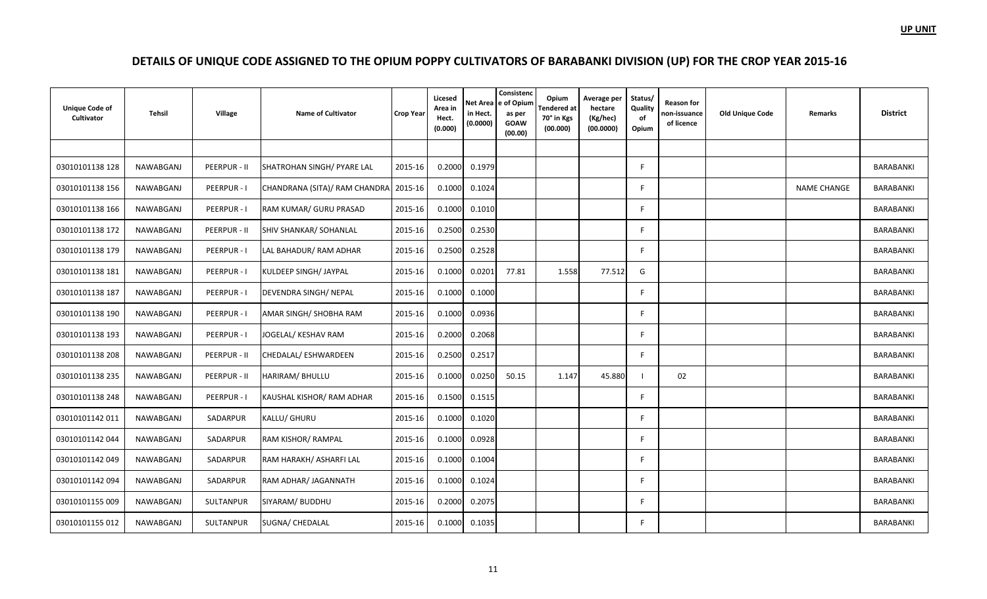| <b>Unique Code of</b><br>Cultivator | <b>Tehsil</b>    | <b>Village</b>   | <b>Name of Cultivator</b>     | <b>Crop Year</b> | Licesed<br>Area in<br>Hect.<br>(0.000) | in Hect.<br>(0.0000) | Consistenc<br>Net Area e of Opium<br>as per<br><b>GOAW</b><br>(00.00) | Opium<br><b>Tendered</b> at<br>70° in Kgs<br>(00.000) | Average per<br>hectare<br>(Kg/hec)<br>(00.0000) | Status/<br>Quality<br>of<br>Opium | <b>Reason for</b><br>non-issuance<br>of licence | <b>Old Unique Code</b> | <b>Remarks</b>     | <b>District</b>  |
|-------------------------------------|------------------|------------------|-------------------------------|------------------|----------------------------------------|----------------------|-----------------------------------------------------------------------|-------------------------------------------------------|-------------------------------------------------|-----------------------------------|-------------------------------------------------|------------------------|--------------------|------------------|
|                                     |                  |                  |                               |                  |                                        |                      |                                                                       |                                                       |                                                 |                                   |                                                 |                        |                    |                  |
| 03010101138 128                     | NAWABGANJ        | PEERPUR - II     | SHATROHAN SINGH/ PYARE LAL    | 2015-16          | 0.2000                                 | 0.1979               |                                                                       |                                                       |                                                 | F                                 |                                                 |                        |                    | BARABANKI        |
| 03010101138 156                     | NAWABGANJ        | PEERPUR-I        | CHANDRANA (SITA)/ RAM CHANDRA | 2015-16          | 0.1000                                 | 0.1024               |                                                                       |                                                       |                                                 | F.                                |                                                 |                        | <b>NAME CHANGE</b> | BARABANKI        |
| 03010101138 166                     | <b>NAWABGANJ</b> | PEERPUR - I      | RAM KUMAR/ GURU PRASAD        | 2015-16          | 0.1000                                 | 0.1010               |                                                                       |                                                       |                                                 | F.                                |                                                 |                        |                    | BARABANKI        |
| 03010101138 172                     | NAWABGANJ        | PEERPUR - II     | SHIV SHANKAR/ SOHANLAL        | 2015-16          | 0.2500                                 | 0.2530               |                                                                       |                                                       |                                                 | E                                 |                                                 |                        |                    | BARABANKI        |
| 03010101138 179                     | NAWABGANJ        | PEERPUR-I        | LAL BAHADUR/ RAM ADHAR        | 2015-16          | 0.2500                                 | 0.2528               |                                                                       |                                                       |                                                 | F                                 |                                                 |                        |                    | BARABANKI        |
| 03010101138 181                     | NAWABGANJ        | PEERPUR-I        | KULDEEP SINGH/ JAYPAL         | 2015-16          | 0.1000                                 | 0.0201               | 77.81                                                                 | 1.558                                                 | 77.512                                          | G                                 |                                                 |                        |                    | <b>BARABANKI</b> |
| 03010101138 187                     | <b>NAWABGANJ</b> | PEERPUR - I      | DEVENDRA SINGH/NEPAL          | 2015-16          | 0.1000                                 | 0.1000               |                                                                       |                                                       |                                                 | F                                 |                                                 |                        |                    | <b>BARABANKI</b> |
| 03010101138 190                     | NAWABGANJ        | PEERPUR-I        | AMAR SINGH/ SHOBHA RAM        | 2015-16          | 0.1000                                 | 0.0936               |                                                                       |                                                       |                                                 | F.                                |                                                 |                        |                    | BARABANKI        |
| 03010101138 193                     | <b>NAWABGANJ</b> | PEERPUR - I      | JOGELAL/ KESHAV RAM           | 2015-16          | 0.2000                                 | 0.2068               |                                                                       |                                                       |                                                 | F.                                |                                                 |                        |                    | BARABANKI        |
| 03010101138 208                     | NAWABGANJ        | PEERPUR - II     | CHEDALAL/ESHWARDEEN           | 2015-16          | 0.2500                                 | 0.2517               |                                                                       |                                                       |                                                 | F.                                |                                                 |                        |                    | BARABANKI        |
| 03010101138 235                     | <b>NAWABGANJ</b> | PEERPUR - II     | HARIRAM/ BHULLU               | 2015-16          | 0.1000                                 | 0.0250               | 50.15                                                                 | 1.147                                                 | 45.880                                          |                                   | 02                                              |                        |                    | BARABANKI        |
| 03010101138 248                     | NAWABGANJ        | PEERPUR-I        | KAUSHAL KISHOR/RAM ADHAR      | 2015-16          | 0.1500                                 | 0.1515               |                                                                       |                                                       |                                                 | F.                                |                                                 |                        |                    | BARABANKI        |
| 03010101142 011                     | NAWABGANJ        | SADARPUR         | KALLU/ GHURU                  | 2015-16          | 0.1000                                 | 0.1020               |                                                                       |                                                       |                                                 | F                                 |                                                 |                        |                    | BARABANKI        |
| 03010101142044                      | NAWABGANJ        | SADARPUR         | RAM KISHOR/ RAMPAL            | 2015-16          | 0.1000                                 | 0.0928               |                                                                       |                                                       |                                                 | E                                 |                                                 |                        |                    | BARABANKI        |
| 03010101142049                      | <b>NAWABGANJ</b> | SADARPUR         | RAM HARAKH/ ASHARFI LAL       | 2015-16          | 0.1000                                 | 0.1004               |                                                                       |                                                       |                                                 | F.                                |                                                 |                        |                    | <b>BARABANKI</b> |
| 03010101142 094                     | NAWABGANJ        | SADARPUR         | RAM ADHAR/ JAGANNATH          | 2015-16          | 0.1000                                 | 0.1024               |                                                                       |                                                       |                                                 | E                                 |                                                 |                        |                    | <b>BARABANKI</b> |
| 03010101155 009                     | <b>NAWABGANJ</b> | <b>SULTANPUR</b> | SIYARAM/ BUDDHU               | 2015-16          | 0.2000                                 | 0.2075               |                                                                       |                                                       |                                                 | F                                 |                                                 |                        |                    | BARABANKI        |
| 03010101155 012                     | NAWABGANJ        | SULTANPUR        | SUGNA/ CHEDALAL               | 2015-16          | 0.1000                                 | 0.1035               |                                                                       |                                                       |                                                 | F.                                |                                                 |                        |                    | BARABANKI        |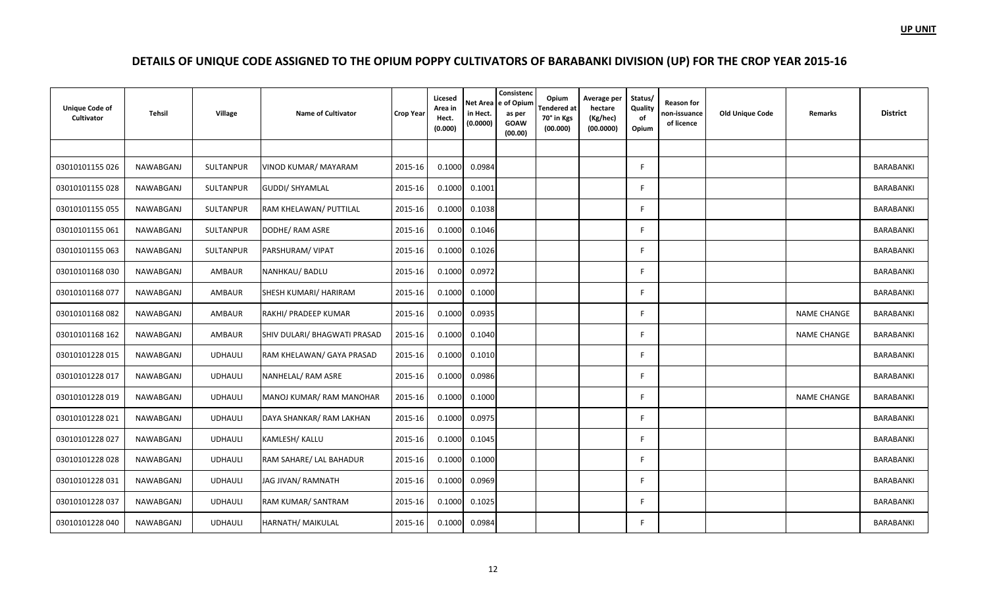| <b>Unique Code of</b><br>Cultivator | <b>Tehsil</b>    | Village        | <b>Name of Cultivator</b>    | <b>Crop Year</b> | Licesed<br>Area in<br>Hect.<br>(0.000) | <b>Net Area</b><br>in Hect.<br>(0.0000) | Consistenc<br>e of Opium<br>as per<br><b>GOAW</b><br>(00.00) | Opium<br><b>Tendered</b> at<br>70° in Kgs<br>(00.000) | Average per<br>hectare<br>(Kg/hec)<br>(00.0000) | Status/<br>Quality<br>of<br>Opium | <b>Reason for</b><br>non-issuance<br>of licence | <b>Old Unique Code</b> | Remarks            | <b>District</b>  |
|-------------------------------------|------------------|----------------|------------------------------|------------------|----------------------------------------|-----------------------------------------|--------------------------------------------------------------|-------------------------------------------------------|-------------------------------------------------|-----------------------------------|-------------------------------------------------|------------------------|--------------------|------------------|
|                                     |                  |                |                              |                  |                                        |                                         |                                                              |                                                       |                                                 |                                   |                                                 |                        |                    |                  |
| 03010101155 026                     | NAWABGANJ        | SULTANPUR      | VINOD KUMAR/ MAYARAM         | 2015-16          | 0.1000                                 | 0.0984                                  |                                                              |                                                       |                                                 | F                                 |                                                 |                        |                    | BARABANKI        |
| 03010101155 028                     | NAWABGANJ        | SULTANPUR      | GUDDI/ SHYAMLAL              | 2015-16          | 0.1000                                 | 0.1001                                  |                                                              |                                                       |                                                 | E                                 |                                                 |                        |                    | BARABANKI        |
| 03010101155 055                     | NAWABGANJ        | SULTANPUR      | RAM KHELAWAN/ PUTTILAL       | 2015-16          | 0.1000                                 | 0.1038                                  |                                                              |                                                       |                                                 | F                                 |                                                 |                        |                    | BARABANKI        |
| 03010101155061                      | NAWABGANJ        | SULTANPUR      | DODHE/ RAM ASRE              | 2015-16          | 0.1000                                 | 0.1046                                  |                                                              |                                                       |                                                 | E                                 |                                                 |                        |                    | BARABANKI        |
| 03010101155 063                     | NAWABGANJ        | SULTANPUR      | PARSHURAM/ VIPAT             | 2015-16          | 0.1000                                 | 0.1026                                  |                                                              |                                                       |                                                 | F                                 |                                                 |                        |                    | BARABANKI        |
| 03010101168030                      | NAWABGANJ        | AMBAUR         | NANHKAU/ BADLU               | 2015-16          | 0.1000                                 | 0.0972                                  |                                                              |                                                       |                                                 | F                                 |                                                 |                        |                    | BARABANKI        |
| 03010101168 077                     | NAWABGANJ        | AMBAUR         | SHESH KUMARI/ HARIRAM        | 2015-16          | 0.1000                                 | 0.1000                                  |                                                              |                                                       |                                                 | F                                 |                                                 |                        |                    | BARABANKI        |
| 03010101168082                      | NAWABGANJ        | AMBAUR         | RAKHI/ PRADEEP KUMAR         | 2015-16          | 0.1000                                 | 0.0935                                  |                                                              |                                                       |                                                 | F                                 |                                                 |                        | <b>NAME CHANGE</b> | BARABANKI        |
| 03010101168 162                     | NAWABGANJ        | AMBAUR         | SHIV DULARI/ BHAGWATI PRASAD | 2015-16          | 0.1000                                 | 0.1040                                  |                                                              |                                                       |                                                 | F                                 |                                                 |                        | <b>NAME CHANGE</b> | BARABANKI        |
| 03010101228 015                     | NAWABGANJ        | <b>UDHAULI</b> | RAM KHELAWAN/ GAYA PRASAD    | 2015-16          | 0.1000                                 | 0.1010                                  |                                                              |                                                       |                                                 | E                                 |                                                 |                        |                    | BARABANKI        |
| 03010101228 017                     | NAWABGANJ        | <b>UDHAULI</b> | NANHELAL/ RAM ASRE           | 2015-16          | 0.1000                                 | 0.0986                                  |                                                              |                                                       |                                                 | F                                 |                                                 |                        |                    | BARABANKI        |
| 03010101228 019                     | NAWABGANJ        | <b>UDHAULI</b> | MANOJ KUMAR/RAM MANOHAR      | 2015-16          | 0.1000                                 | 0.1000                                  |                                                              |                                                       |                                                 | E                                 |                                                 |                        | <b>NAME CHANGE</b> | BARABANKI        |
| 03010101228 021                     | NAWABGANJ        | <b>UDHAULI</b> | DAYA SHANKAR/ RAM LAKHAN     | 2015-16          | 0.1000                                 | 0.0975                                  |                                                              |                                                       |                                                 | F                                 |                                                 |                        |                    | BARABANKI        |
| 03010101228 027                     | NAWABGANJ        | <b>UDHAULI</b> | KAMLESH/ KALLU               | 2015-16          | 0.1000                                 | 0.1045                                  |                                                              |                                                       |                                                 | F                                 |                                                 |                        |                    | BARABANKI        |
| 03010101228 028                     | NAWABGANJ        | <b>UDHAULI</b> | RAM SAHARE/ LAL BAHADUR      | 2015-16          | 0.1000                                 | 0.1000                                  |                                                              |                                                       |                                                 | F                                 |                                                 |                        |                    | BARABANKI        |
| 03010101228 031                     | NAWABGANJ        | <b>UDHAULI</b> | JAG JIVAN/ RAMNATH           | 2015-16          | 0.1000                                 | 0.0969                                  |                                                              |                                                       |                                                 | F                                 |                                                 |                        |                    | BARABANKI        |
| 03010101228 037                     | <b>NAWABGANJ</b> | <b>UDHAULI</b> | RAM KUMAR/ SANTRAM           | 2015-16          | 0.1000                                 | 0.1025                                  |                                                              |                                                       |                                                 | F                                 |                                                 |                        |                    | <b>BARABANKI</b> |
| 03010101228 040                     | NAWABGANJ        | <b>UDHAULI</b> | HARNATH/ MAIKULAL            | 2015-16          | 0.1000                                 | 0.0984                                  |                                                              |                                                       |                                                 | F                                 |                                                 |                        |                    | BARABANKI        |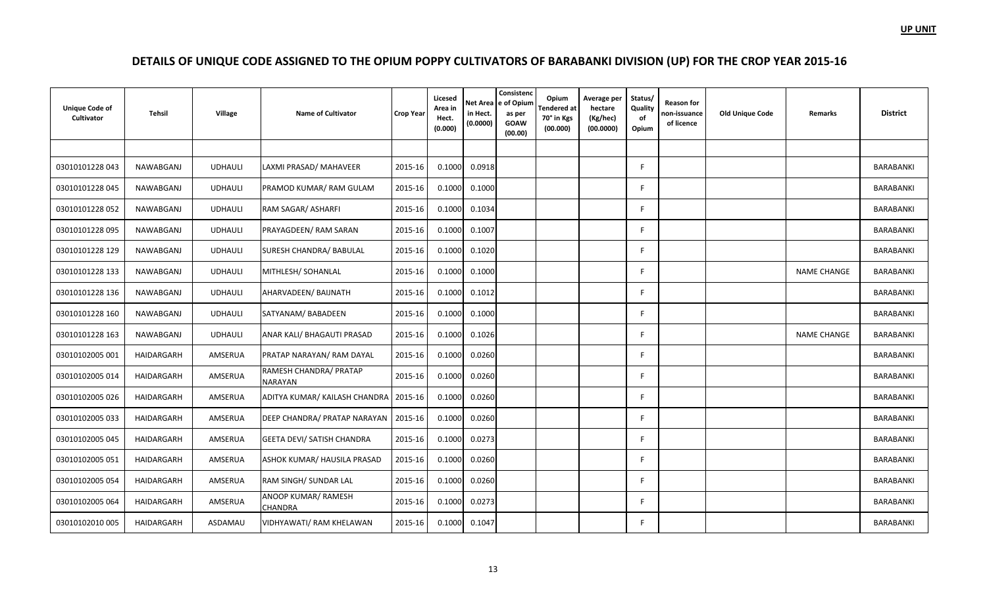| <b>Unique Code of</b><br>Cultivator | <b>Tehsil</b> | Village        | <b>Name of Cultivator</b>                | <b>Crop Year</b> | Licesed<br>Area in<br>Hect.<br>(0.000) | in Hect.<br>(0.0000) | Consistenc<br>Net Area e of Opium<br>as per<br><b>GOAW</b><br>(00.00) | Opium<br><b>Tendered</b> at<br>70° in Kgs<br>(00.000) | Average per<br>hectare<br>(Kg/hec)<br>(00.0000) | Status/<br>Quality<br>of<br>Opium | Reason for<br>non-issuance<br>of licence | <b>Old Unique Code</b> | Remarks            | <b>District</b> |
|-------------------------------------|---------------|----------------|------------------------------------------|------------------|----------------------------------------|----------------------|-----------------------------------------------------------------------|-------------------------------------------------------|-------------------------------------------------|-----------------------------------|------------------------------------------|------------------------|--------------------|-----------------|
|                                     |               |                |                                          |                  |                                        |                      |                                                                       |                                                       |                                                 |                                   |                                          |                        |                    |                 |
| 03010101228 043                     | NAWABGANJ     | <b>UDHAULI</b> | LAXMI PRASAD/ MAHAVEER                   | 2015-16          | 0.1000                                 | 0.0918               |                                                                       |                                                       |                                                 | E                                 |                                          |                        |                    | BARABANKI       |
| 03010101228 045                     | NAWABGANJ     | <b>UDHAULI</b> | PRAMOD KUMAR/RAM GULAM                   | 2015-16          | 0.1000                                 | 0.1000               |                                                                       |                                                       |                                                 | F.                                |                                          |                        |                    | BARABANKI       |
| 03010101228 052                     | NAWABGANJ     | <b>UDHAULI</b> | RAM SAGAR/ ASHARFI                       | 2015-16          | 0.1000                                 | 0.1034               |                                                                       |                                                       |                                                 | F                                 |                                          |                        |                    | BARABANKI       |
| 03010101228 095                     | NAWABGANJ     | <b>UDHAULI</b> | PRAYAGDEEN/ RAM SARAN                    | 2015-16          | 0.1000                                 | 0.1007               |                                                                       |                                                       |                                                 | F                                 |                                          |                        |                    | BARABANKI       |
| 03010101228 129                     | NAWABGANJ     | <b>UDHAULI</b> | SURESH CHANDRA/ BABULAL                  | 2015-16          | 0.1000                                 | 0.1020               |                                                                       |                                                       |                                                 | F                                 |                                          |                        |                    | BARABANKI       |
| 03010101228 133                     | NAWABGANJ     | <b>UDHAULI</b> | MITHLESH/ SOHANLAL                       | 2015-16          | 0.1000                                 | 0.1000               |                                                                       |                                                       |                                                 | F.                                |                                          |                        | <b>NAME CHANGE</b> | BARABANKI       |
| 03010101228 136                     | NAWABGANJ     | <b>UDHAULI</b> | AHARVADEEN/ BAIJNATH                     | 2015-16          | 0.1000                                 | 0.1012               |                                                                       |                                                       |                                                 | F                                 |                                          |                        |                    | BARABANKI       |
| 03010101228 160                     | NAWABGANJ     | <b>UDHAULI</b> | SATYANAM/ BABADEEN                       | 2015-16          | 0.1000                                 | 0.1000               |                                                                       |                                                       |                                                 | F.                                |                                          |                        |                    | BARABANKI       |
| 03010101228 163                     | NAWABGANJ     | <b>UDHAULI</b> | ANAR KALI/ BHAGAUTI PRASAD               | 2015-16          | 0.1000                                 | 0.1026               |                                                                       |                                                       |                                                 | F                                 |                                          |                        | <b>NAME CHANGE</b> | BARABANKI       |
| 03010102005 001                     | HAIDARGARH    | AMSERUA        | PRATAP NARAYAN/ RAM DAYAL                | 2015-16          | 0.1000                                 | 0.0260               |                                                                       |                                                       |                                                 | F.                                |                                          |                        |                    | BARABANKI       |
| 03010102005 014                     | HAIDARGARH    | AMSERUA        | RAMESH CHANDRA/ PRATAP<br><b>NARAYAN</b> | 2015-16          | 0.1000                                 | 0.0260               |                                                                       |                                                       |                                                 | F                                 |                                          |                        |                    | BARABANKI       |
| 03010102005 026                     | HAIDARGARH    | AMSERUA        | ADITYA KUMAR/ KAILASH CHANDRA   2015-16  |                  | 0.1000                                 | 0.0260               |                                                                       |                                                       |                                                 | F.                                |                                          |                        |                    | BARABANKI       |
| 03010102005 033                     | HAIDARGARH    | AMSERUA        | DEEP CHANDRA/ PRATAP NARAYAN             | 2015-16          | 0.1000                                 | 0.0260               |                                                                       |                                                       |                                                 | F                                 |                                          |                        |                    | BARABANKI       |
| 03010102005 045                     | HAIDARGARH    | AMSERUA        | <b>GEETA DEVI/ SATISH CHANDRA</b>        | 2015-16          | 0.1000                                 | 0.0273               |                                                                       |                                                       |                                                 | F                                 |                                          |                        |                    | BARABANKI       |
| 03010102005 051                     | HAIDARGARH    | AMSERUA        | ASHOK KUMAR/ HAUSILA PRASAD              | 2015-16          | 0.1000                                 | 0.0260               |                                                                       |                                                       |                                                 | F.                                |                                          |                        |                    | BARABANKI       |
| 03010102005 054                     | HAIDARGARH    | AMSERUA        | RAM SINGH/ SUNDAR LAL                    | 2015-16          | 0.1000                                 | 0.0260               |                                                                       |                                                       |                                                 | E                                 |                                          |                        |                    | BARABANKI       |
| 03010102005 064                     | HAIDARGARH    | AMSERUA        | ANOOP KUMAR/ RAMESH<br><b>CHANDRA</b>    | 2015-16          | 0.1000                                 | 0.0273               |                                                                       |                                                       |                                                 | F                                 |                                          |                        |                    | BARABANKI       |
| 03010102010 005                     | HAIDARGARH    | ASDAMAU        | VIDHYAWATI/ RAM KHELAWAN                 | 2015-16          | 0.1000                                 | 0.1047               |                                                                       |                                                       |                                                 | F.                                |                                          |                        |                    | BARABANKI       |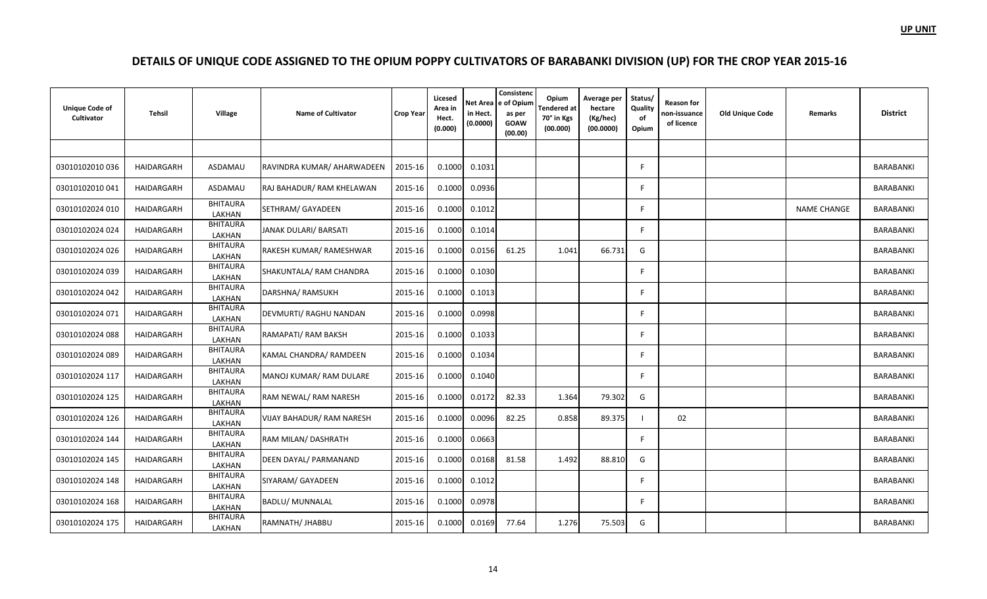| <b>Unique Code of</b><br>Cultivator | Tehsil     | <b>Village</b>            | <b>Name of Cultivator</b>        | <b>Crop Year</b> | Licesed<br>Area in<br>Hect.<br>(0.000) | in Hect.<br>(0.0000) | Consistenc<br>Net Area e of Opium<br>as per<br><b>GOAW</b><br>(00.00) | Opium<br><b>Tendered</b> at<br>70° in Kgs<br>(00.000) | Average per<br>hectare<br>(Kg/hec)<br>(00.0000) | Status/<br>Quality<br>of<br>Opium | Reason for<br>non-issuance<br>of licence | <b>Old Unique Code</b> | Remarks            | <b>District</b>  |
|-------------------------------------|------------|---------------------------|----------------------------------|------------------|----------------------------------------|----------------------|-----------------------------------------------------------------------|-------------------------------------------------------|-------------------------------------------------|-----------------------------------|------------------------------------------|------------------------|--------------------|------------------|
|                                     |            |                           |                                  |                  |                                        |                      |                                                                       |                                                       |                                                 |                                   |                                          |                        |                    |                  |
| 03010102010036                      | HAIDARGARH | ASDAMAU                   | RAVINDRA KUMAR/ AHARWADEEN       | 2015-16          | 0.1000                                 | 0.1031               |                                                                       |                                                       |                                                 | E                                 |                                          |                        |                    | BARABANKI        |
| 03010102010041                      | HAIDARGARH | ASDAMAU                   | RAJ BAHADUR/ RAM KHELAWAN        | 2015-16          | 0.1000                                 | 0.0936               |                                                                       |                                                       |                                                 | F                                 |                                          |                        |                    | BARABANKI        |
| 03010102024 010                     | HAIDARGARH | <b>BHITAURA</b><br>LAKHAN | SETHRAM/ GAYADEEN                | 2015-16          | 0.1000                                 | 0.1012               |                                                                       |                                                       |                                                 | F                                 |                                          |                        | <b>NAME CHANGE</b> | BARABANKI        |
| 03010102024 024                     | HAIDARGARH | <b>BHITAURA</b><br>LAKHAN | JANAK DULARI/ BARSATI            | 2015-16          | 0.1000                                 | 0.1014               |                                                                       |                                                       |                                                 | F                                 |                                          |                        |                    | BARABANKI        |
| 03010102024 026                     | HAIDARGARH | <b>BHITAURA</b><br>LAKHAN | RAKESH KUMAR/ RAMESHWAR          | 2015-16          | 0.1000                                 | 0.0156               | 61.25                                                                 | 1.041                                                 | 66.731                                          | G                                 |                                          |                        |                    | BARABANKI        |
| 03010102024 039                     | HAIDARGARH | <b>BHITAURA</b><br>LAKHAN | SHAKUNTALA/ RAM CHANDRA          | 2015-16          | 0.1000                                 | 0.1030               |                                                                       |                                                       |                                                 | F                                 |                                          |                        |                    | BARABANKI        |
| 03010102024 042                     | HAIDARGARH | <b>BHITAURA</b><br>LAKHAN | DARSHNA/ RAMSUKH                 | 2015-16          | 0.1000                                 | 0.1013               |                                                                       |                                                       |                                                 | F                                 |                                          |                        |                    | BARABANKI        |
| 03010102024 071                     | HAIDARGARH | <b>BHITAURA</b><br>LAKHAN | DEVMURTI/ RAGHU NANDAN           | 2015-16          | 0.1000                                 | 0.0998               |                                                                       |                                                       |                                                 | F.                                |                                          |                        |                    | BARABANKI        |
| 03010102024 088                     | HAIDARGARH | <b>BHITAURA</b><br>LAKHAN | RAMAPATI/ RAM BAKSH              | 2015-16          | 0.1000                                 | 0.1033               |                                                                       |                                                       |                                                 | E                                 |                                          |                        |                    | BARABANKI        |
| 03010102024 089                     | HAIDARGARH | <b>BHITAURA</b><br>LAKHAN | KAMAL CHANDRA/ RAMDEEN           | 2015-16          | 0.1000                                 | 0.1034               |                                                                       |                                                       |                                                 | F.                                |                                          |                        |                    | BARABANKI        |
| 03010102024 117                     | HAIDARGARH | <b>BHITAURA</b><br>LAKHAN | MANOJ KUMAR/ RAM DULARE          | 2015-16          | 0.1000                                 | 0.1040               |                                                                       |                                                       |                                                 | F                                 |                                          |                        |                    | BARABANKI        |
| 03010102024 125                     | HAIDARGARH | <b>BHITAURA</b><br>LAKHAN | RAM NEWAL/ RAM NARESH            | 2015-16          | 0.1000                                 | 0.0172               | 82.33                                                                 | 1.364                                                 | 79.302                                          | G                                 |                                          |                        |                    | BARABANKI        |
| 03010102024 126                     | HAIDARGARH | <b>BHITAURA</b><br>LAKHAN | <b>VIJAY BAHADUR/ RAM NARESH</b> | 2015-16          | 0.1000                                 | 0.0096               | 82.25                                                                 | 0.858                                                 | 89.375                                          |                                   | 02                                       |                        |                    | <b>BARABANKI</b> |
| 03010102024 144                     | HAIDARGARH | <b>BHITAURA</b><br>LAKHAN | RAM MILAN/ DASHRATH              | 2015-16          | 0.1000                                 | 0.0663               |                                                                       |                                                       |                                                 | F                                 |                                          |                        |                    | <b>BARABANKI</b> |
| 03010102024 145                     | HAIDARGARH | <b>BHITAURA</b><br>LAKHAN | DEEN DAYAL/ PARMANAND            | 2015-16          | 0.1000                                 | 0.0168               | 81.58                                                                 | 1.492                                                 | 88.810                                          | G                                 |                                          |                        |                    | <b>BARABANKI</b> |
| 03010102024 148                     | HAIDARGARH | <b>BHITAURA</b><br>LAKHAN | SIYARAM/ GAYADEEN                | 2015-16          | 0.1000                                 | 0.1012               |                                                                       |                                                       |                                                 | F                                 |                                          |                        |                    | BARABANKI        |
| 03010102024 168                     | HAIDARGARH | <b>BHITAURA</b><br>LAKHAN | <b>BADLU/ MUNNALAL</b>           | 2015-16          | 0.1000                                 | 0.0978               |                                                                       |                                                       |                                                 | E                                 |                                          |                        |                    | BARABANKI        |
| 03010102024 175                     | HAIDARGARH | <b>BHITAURA</b><br>LAKHAN | RAMNATH/ JHABBU                  | 2015-16          | 0.1000                                 | 0.0169               | 77.64                                                                 | 1.276                                                 | 75.503                                          | G                                 |                                          |                        |                    | BARABANKI        |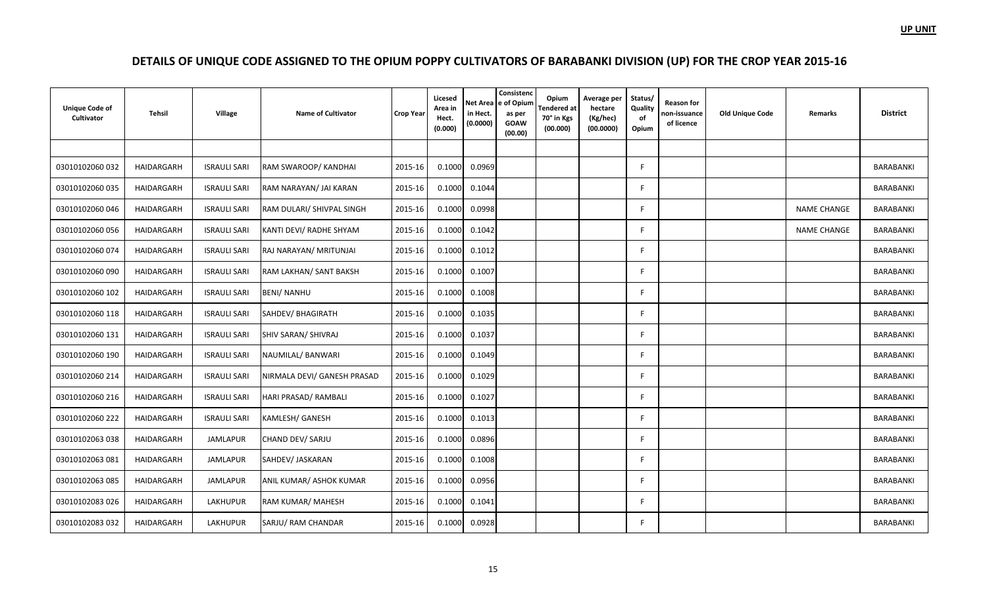| <b>Unique Code of</b><br>Cultivator | Tehsil     | Village             | <b>Name of Cultivator</b>   | <b>Crop Year</b> | Licesed<br>Area in<br>Hect.<br>(0.000) | in Hect.<br>(0.0000) | Consistenc<br>Net Area e of Opium<br>as per<br><b>GOAW</b><br>(00.00) | Opium<br><b>Tendered</b> at<br>70° in Kgs<br>(00.000) | Average per<br>hectare<br>(Kg/hec)<br>(00.0000) | Status/<br>Quality<br>of<br>Opium | <b>Reason for</b><br>non-issuance<br>of licence | <b>Old Unique Code</b> | Remarks            | <b>District</b>  |
|-------------------------------------|------------|---------------------|-----------------------------|------------------|----------------------------------------|----------------------|-----------------------------------------------------------------------|-------------------------------------------------------|-------------------------------------------------|-----------------------------------|-------------------------------------------------|------------------------|--------------------|------------------|
|                                     |            |                     |                             |                  |                                        |                      |                                                                       |                                                       |                                                 |                                   |                                                 |                        |                    |                  |
| 03010102060 032                     | HAIDARGARH | <b>ISRAULI SARI</b> | RAM SWAROOP/ KANDHAI        | 2015-16          | 0.1000                                 | 0.0969               |                                                                       |                                                       |                                                 | F                                 |                                                 |                        |                    | BARABANKI        |
| 03010102060 035                     | HAIDARGARH | <b>ISRAULI SARI</b> | RAM NARAYAN/ JAI KARAN      | 2015-16          | 0.1000                                 | 0.1044               |                                                                       |                                                       |                                                 | F.                                |                                                 |                        |                    | <b>BARABANKI</b> |
| 03010102060046                      | HAIDARGARH | <b>ISRAULI SARI</b> | RAM DULARI/ SHIVPAL SINGH   | 2015-16          | 0.1000                                 | 0.0998               |                                                                       |                                                       |                                                 | E                                 |                                                 |                        | <b>NAME CHANGE</b> | BARABANKI        |
| 03010102060 056                     | HAIDARGARH | <b>ISRAULI SARI</b> | KANTI DEVI/ RADHE SHYAM     | 2015-16          | 0.1000                                 | 0.1042               |                                                                       |                                                       |                                                 | F                                 |                                                 |                        | <b>NAME CHANGE</b> | BARABANKI        |
| 03010102060 074                     | HAIDARGARH | <b>ISRAULI SARI</b> | RAJ NARAYAN/ MRITUNJAI      | 2015-16          | 0.1000                                 | 0.1012               |                                                                       |                                                       |                                                 | E                                 |                                                 |                        |                    | BARABANKI        |
| 03010102060 090                     | HAIDARGARH | <b>ISRAULI SARI</b> | RAM LAKHAN/ SANT BAKSH      | 2015-16          | 0.1000                                 | 0.1007               |                                                                       |                                                       |                                                 | F.                                |                                                 |                        |                    | BARABANKI        |
| 03010102060 102                     | HAIDARGARH | <b>ISRAULI SARI</b> | <b>BENI/ NANHU</b>          | 2015-16          | 0.1000                                 | 0.1008               |                                                                       |                                                       |                                                 | F                                 |                                                 |                        |                    | <b>BARABANKI</b> |
| 03010102060 118                     | HAIDARGARH | <b>ISRAULI SARI</b> | SAHDEV/BHAGIRATH            | 2015-16          | 0.1000                                 | 0.1035               |                                                                       |                                                       |                                                 | F                                 |                                                 |                        |                    | BARABANKI        |
| 03010102060 131                     | HAIDARGARH | <b>ISRAULI SARI</b> | <b>SHIV SARAN/ SHIVRAJ</b>  | 2015-16          | 0.1000                                 | 0.1037               |                                                                       |                                                       |                                                 | F                                 |                                                 |                        |                    | BARABANKI        |
| 03010102060 190                     | HAIDARGARH | <b>ISRAULI SARI</b> | NAUMILAL/ BANWARI           | 2015-16          | 0.1000                                 | 0.1049               |                                                                       |                                                       |                                                 | F                                 |                                                 |                        |                    | BARABANKI        |
| 03010102060 214                     | HAIDARGARH | <b>ISRAULI SARI</b> | NIRMALA DEVI/ GANESH PRASAD | 2015-16          | 0.1000                                 | 0.1029               |                                                                       |                                                       |                                                 | F                                 |                                                 |                        |                    | BARABANKI        |
| 03010102060 216                     | HAIDARGARH | <b>ISRAULI SARI</b> | HARI PRASAD/ RAMBALI        | 2015-16          | 0.1000                                 | 0.1027               |                                                                       |                                                       |                                                 | F.                                |                                                 |                        |                    | <b>BARABANKI</b> |
| 03010102060 222                     | HAIDARGARH | <b>ISRAULI SARI</b> | <b>KAMLESH/ GANESH</b>      | 2015-16          | 0.1000                                 | 0.1013               |                                                                       |                                                       |                                                 | F                                 |                                                 |                        |                    | BARABANKI        |
| 03010102063038                      | HAIDARGARH | <b>JAMLAPUR</b>     | CHAND DEV/ SARJU            | 2015-16          | 0.1000                                 | 0.0896               |                                                                       |                                                       |                                                 | F                                 |                                                 |                        |                    | BARABANKI        |
| 03010102063081                      | HAIDARGARH | <b>JAMLAPUR</b>     | SAHDEV/ JASKARAN            | 2015-16          | 0.1000                                 | 0.1008               |                                                                       |                                                       |                                                 | F.                                |                                                 |                        |                    | BARABANKI        |
| 03010102063 085                     | HAIDARGARH | JAMLAPUR            | ANIL KUMAR/ ASHOK KUMAR     | 2015-16          | 0.1000                                 | 0.0956               |                                                                       |                                                       |                                                 | F                                 |                                                 |                        |                    | BARABANKI        |
| 03010102083 026                     | HAIDARGARH | <b>LAKHUPUR</b>     | RAM KUMAR/ MAHESH           | 2015-16          | 0.1000                                 | 0.1041               |                                                                       |                                                       |                                                 | F                                 |                                                 |                        |                    | <b>BARABANKI</b> |
| 03010102083 032                     | HAIDARGARH | <b>LAKHUPUR</b>     | SARJU/ RAM CHANDAR          | 2015-16          | 0.1000                                 | 0.0928               |                                                                       |                                                       |                                                 | F.                                |                                                 |                        |                    | BARABANKI        |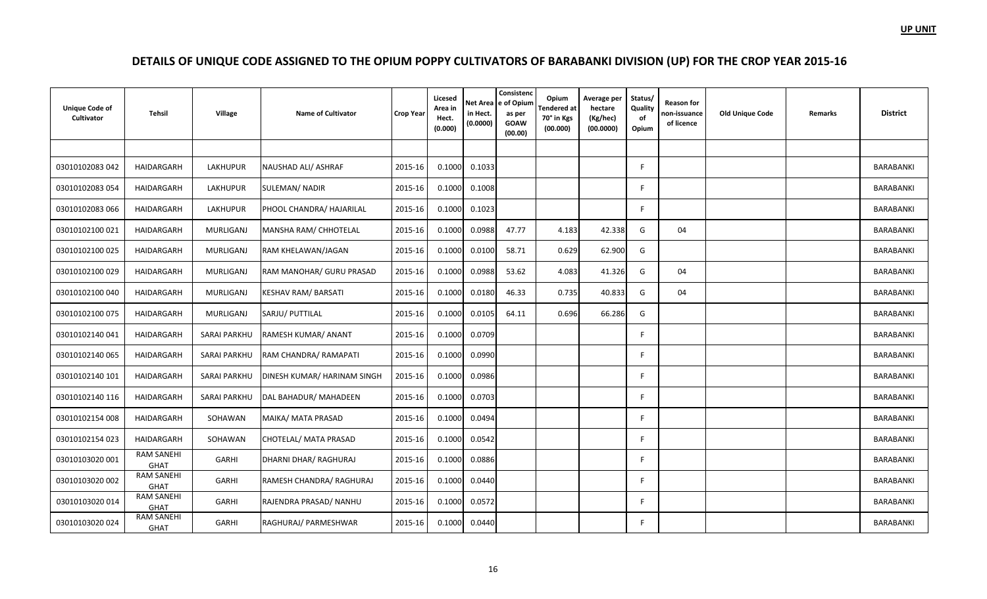| <b>Unique Code of</b><br>Cultivator | <b>Tehsil</b>                    | Village             | <b>Name of Cultivator</b>   | <b>Crop Year</b> | Licesed<br>Area in<br>Hect.<br>(0.000) | in Hect.<br>(0.0000) | Consistenc<br>Net Area e of Opium<br>as per<br><b>GOAW</b><br>(00.00) | Opium<br><b>Tendered</b> at<br>70° in Kgs<br>(00.000) | Average per<br>hectare<br>(Kg/hec)<br>(00.0000) | Status/<br>Quality<br>of<br>Opium | <b>Reason for</b><br>non-issuance<br>of licence | <b>Old Unique Code</b> | Remarks | <b>District</b>  |
|-------------------------------------|----------------------------------|---------------------|-----------------------------|------------------|----------------------------------------|----------------------|-----------------------------------------------------------------------|-------------------------------------------------------|-------------------------------------------------|-----------------------------------|-------------------------------------------------|------------------------|---------|------------------|
|                                     |                                  |                     |                             |                  |                                        |                      |                                                                       |                                                       |                                                 |                                   |                                                 |                        |         |                  |
| 03010102083 042                     | HAIDARGARH                       | LAKHUPUR            | NAUSHAD ALI/ ASHRAF         | 2015-16          | 0.1000                                 | 0.1033               |                                                                       |                                                       |                                                 | F                                 |                                                 |                        |         | BARABANKI        |
| 03010102083 054                     | HAIDARGARH                       | LAKHUPUR            | SULEMAN/ NADIR              | 2015-16          | 0.1000                                 | 0.1008               |                                                                       |                                                       |                                                 | F.                                |                                                 |                        |         | BARABANKI        |
| 03010102083 066                     | HAIDARGARH                       | LAKHUPUR            | PHOOL CHANDRA/ HAJARILAL    | 2015-16          | 0.1000                                 | 0.1023               |                                                                       |                                                       |                                                 | F                                 |                                                 |                        |         | BARABANKI        |
| 03010102100 021                     | HAIDARGARH                       | MURLIGANJ           | MANSHA RAM/ CHHOTELAL       | 2015-16          | 0.1000                                 | 0.0988               | 47.77                                                                 | 4.183                                                 | 42.338                                          | G                                 | 04                                              |                        |         | <b>BARABANKI</b> |
| 03010102100 025                     | HAIDARGARH                       | MURLIGANJ           | RAM KHELAWAN/JAGAN          | 2015-16          | 0.1000                                 | 0.0100               | 58.71                                                                 | 0.629                                                 | 62.900                                          | G                                 |                                                 |                        |         | BARABANKI        |
| 03010102100029                      | HAIDARGARH                       | MURLIGANJ           | RAM MANOHAR/ GURU PRASAD    | 2015-16          | 0.1000                                 | 0.0988               | 53.62                                                                 | 4.083                                                 | 41.326                                          | G                                 | 04                                              |                        |         | BARABANKI        |
| 03010102100040                      | HAIDARGARH                       | MURLIGANJ           | KESHAV RAM/ BARSATI         | 2015-16          | 0.1000                                 | 0.0180               | 46.33                                                                 | 0.735                                                 | 40.833                                          | G                                 | 04                                              |                        |         | BARABANKI        |
| 03010102100 075                     | HAIDARGARH                       | MURLIGANJ           | SARJU/ PUTTILAL             | 2015-16          | 0.1000                                 | 0.0105               | 64.11                                                                 | 0.696                                                 | 66.286                                          | G                                 |                                                 |                        |         | BARABANKI        |
| 03010102140041                      | HAIDARGARH                       | <b>SARAI PARKHU</b> | RAMESH KUMAR/ ANANT         | 2015-16          | 0.1000                                 | 0.0709               |                                                                       |                                                       |                                                 | E                                 |                                                 |                        |         | BARABANKI        |
| 03010102140065                      | HAIDARGARH                       | SARAI PARKHU        | RAM CHANDRA/ RAMAPATI       | 2015-16          | 0.1000                                 | 0.0990               |                                                                       |                                                       |                                                 | F.                                |                                                 |                        |         | BARABANKI        |
| 03010102140 101                     | HAIDARGARH                       | <b>SARAI PARKHU</b> | DINESH KUMAR/ HARINAM SINGH | 2015-16          | 0.1000                                 | 0.0986               |                                                                       |                                                       |                                                 | F.                                |                                                 |                        |         | BARABANKI        |
| 03010102140 116                     | HAIDARGARH                       | <b>SARAI PARKHU</b> | DAL BAHADUR/ MAHADEEN       | 2015-16          | 0.1000                                 | 0.0703               |                                                                       |                                                       |                                                 | E                                 |                                                 |                        |         | BARABANKI        |
| 03010102154 008                     | HAIDARGARH                       | SOHAWAN             | MAIKA/ MATA PRASAD          | 2015-16          | 0.1000                                 | 0.0494               |                                                                       |                                                       |                                                 | F                                 |                                                 |                        |         | BARABANKI        |
| 03010102154 023                     | HAIDARGARH                       | SOHAWAN             | CHOTELAL/ MATA PRASAD       | 2015-16          | 0.1000                                 | 0.0542               |                                                                       |                                                       |                                                 | E                                 |                                                 |                        |         | BARABANKI        |
| 03010103020 001                     | <b>RAM SANEHI</b><br><b>GHAT</b> | GARHI               | DHARNI DHAR/ RAGHURAJ       | 2015-16          | 0.1000                                 | 0.0886               |                                                                       |                                                       |                                                 | F.                                |                                                 |                        |         | BARABANKI        |
| 03010103020 002                     | <b>RAM SANEHI</b><br><b>GHAT</b> | GARHI               | RAMESH CHANDRA/ RAGHURAJ    | 2015-16          | 0.1000                                 | 0.0440               |                                                                       |                                                       |                                                 | E                                 |                                                 |                        |         | <b>BARABANKI</b> |
| 03010103020 014                     | <b>RAM SANEHI</b><br><b>GHAT</b> | GARHI               | RAJENDRA PRASAD/ NANHU      | 2015-16          | 0.1000                                 | 0.0572               |                                                                       |                                                       |                                                 | F                                 |                                                 |                        |         | <b>BARABANKI</b> |
| 03010103020024                      | <b>RAM SANEHI</b><br><b>GHAT</b> | GARHI               | RAGHURAJ/ PARMESHWAR        | 2015-16          | 0.1000                                 | 0.0440               |                                                                       |                                                       |                                                 | F.                                |                                                 |                        |         | BARABANKI        |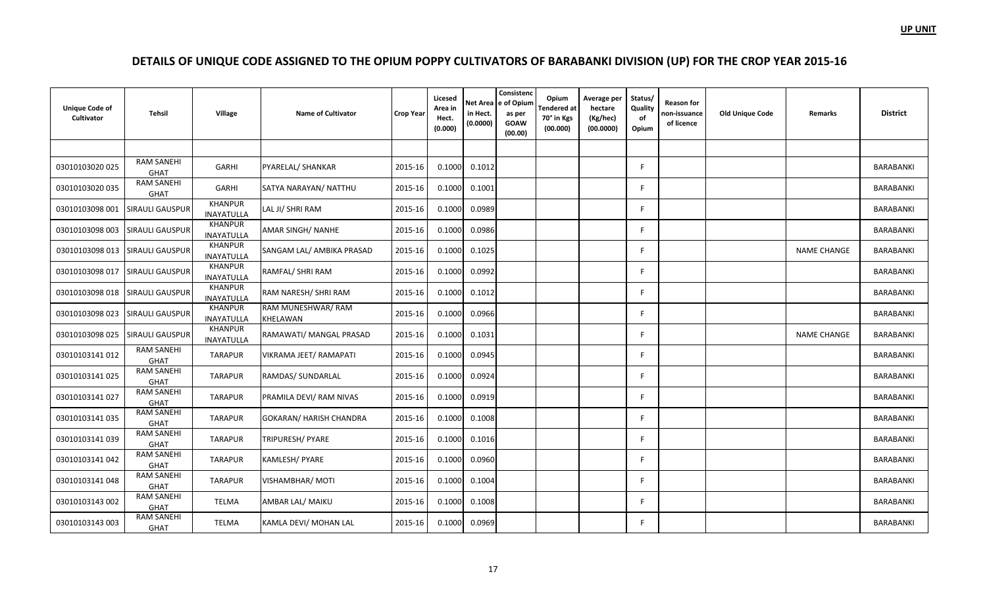| <b>Unique Code of</b><br>Cultivator | <b>Tehsil</b>                    | Village                      | <b>Name of Cultivator</b>      | <b>Crop Year</b> | Licesed<br>Area in<br>Hect.<br>(0.000) | Net Area<br>in Hect.<br>(0.0000) | Consistenc<br>e of Opium<br>as per<br><b>GOAW</b><br>(00.00) | Opium<br>Tendered at<br>70° in Kgs<br>(00.000) | Average per<br>hectare<br>(Kg/hec)<br>(00.0000) | Status/<br>Quality<br>of<br>Opium | <b>Reason for</b><br>non-issuance<br>of licence | <b>Old Unique Code</b> | Remarks            | <b>District</b>  |
|-------------------------------------|----------------------------------|------------------------------|--------------------------------|------------------|----------------------------------------|----------------------------------|--------------------------------------------------------------|------------------------------------------------|-------------------------------------------------|-----------------------------------|-------------------------------------------------|------------------------|--------------------|------------------|
|                                     |                                  |                              |                                |                  |                                        |                                  |                                                              |                                                |                                                 |                                   |                                                 |                        |                    |                  |
| 03010103020025                      | <b>RAM SANEHI</b><br><b>GHAT</b> | GARHI                        | PYARELAL/ SHANKAR              | 2015-16          | 0.1000                                 | 0.1012                           |                                                              |                                                |                                                 | F                                 |                                                 |                        |                    | BARABANKI        |
| 03010103020 035                     | <b>RAM SANEHI</b><br>GHAT        | GARHI                        | SATYA NARAYAN/ NATTHU          | 2015-16          | 0.1000                                 | 0.1001                           |                                                              |                                                |                                                 | E                                 |                                                 |                        |                    | BARABANKI        |
| 03010103098 001                     | <b>SIRAULI GAUSPUR</b>           | <b>KHANPUR</b><br>INAYATULLA | LAL JI/ SHRI RAM               | 2015-16          | 0.1000                                 | 0.0989                           |                                                              |                                                |                                                 | F                                 |                                                 |                        |                    | BARABANKI        |
| 03010103098 003                     | <b>SIRAULI GAUSPUR</b>           | <b>KHANPUR</b><br>INAYATULLA | <b>AMAR SINGH/ NANHE</b>       | 2015-16          | 0.1000                                 | 0.0986                           |                                                              |                                                |                                                 | E                                 |                                                 |                        |                    | BARABANKI        |
| 03010103098 013                     | <b>SIRAULI GAUSPUR</b>           | <b>KHANPUR</b><br>INAYATULLA | SANGAM LAL/ AMBIKA PRASAD      | 2015-16          | 0.1000                                 | 0.1025                           |                                                              |                                                |                                                 | F                                 |                                                 |                        | <b>NAME CHANGE</b> | BARABANKI        |
| 03010103098 017                     | <b>SIRAULI GAUSPUR</b>           | <b>KHANPUR</b><br>INAYATULLA | RAMFAL/ SHRI RAM               | 2015-16          | 0.1000                                 | 0.0992                           |                                                              |                                                |                                                 | E                                 |                                                 |                        |                    | BARABANKI        |
| 03010103098 018                     | <b>SIRAULI GAUSPUR</b>           | <b>KHANPUR</b><br>INAYATULLA | RAM NARESH/ SHRI RAM           | 2015-16          | 0.1000                                 | 0.1012                           |                                                              |                                                |                                                 | F                                 |                                                 |                        |                    | BARABANKI        |
| 03010103098 023                     | <b>SIRAULI GAUSPUR</b>           | KHANPUR<br>INAYATULLA        | RAM MUNESHWAR/ RAM<br>KHELAWAN | 2015-16          | 0.1000                                 | 0.0966                           |                                                              |                                                |                                                 | E                                 |                                                 |                        |                    | BARABANKI        |
| 03010103098 025                     | <b>SIRAULI GAUSPUR</b>           | <b>KHANPUR</b><br>INAYATULLA | RAMAWATI/ MANGAL PRASAD        | 2015-16          | 0.1000                                 | 0.1031                           |                                                              |                                                |                                                 | F                                 |                                                 |                        | <b>NAME CHANGE</b> | BARABANKI        |
| 03010103141 012                     | <b>RAM SANEHI</b><br>GHAT        | <b>TARAPUR</b>               | VIKRAMA JEET/ RAMAPATI         | 2015-16          | 0.1000                                 | 0.0945                           |                                                              |                                                |                                                 | E                                 |                                                 |                        |                    | <b>BARABANKI</b> |
| 03010103141 025                     | <b>RAM SANEHI</b><br>GHAT        | <b>TARAPUR</b>               | RAMDAS/ SUNDARLAL              | 2015-16          | 0.1000                                 | 0.0924                           |                                                              |                                                |                                                 | E                                 |                                                 |                        |                    | BARABANKI        |
| 03010103141 027                     | <b>RAM SANEHI</b><br>GHAT        | <b>TARAPUR</b>               | PRAMILA DEVI/ RAM NIVAS        | 2015-16          | 0.1000                                 | 0.0919                           |                                                              |                                                |                                                 | E                                 |                                                 |                        |                    | BARABANKI        |
| 03010103141035                      | <b>RAM SANEHI</b><br><b>GHAT</b> | <b>TARAPUR</b>               | <b>GOKARAN/ HARISH CHANDRA</b> | 2015-16          | 0.1000                                 | 0.1008                           |                                                              |                                                |                                                 | F                                 |                                                 |                        |                    | BARABANKI        |
| 03010103141039                      | <b>RAM SANEHI</b><br>GHAT        | <b>TARAPUR</b>               | <b>TRIPURESH/ PYARE</b>        | 2015-16          | 0.1000                                 | 0.1016                           |                                                              |                                                |                                                 | E                                 |                                                 |                        |                    | BARABANKI        |
| 03010103141042                      | <b>RAM SANEHI</b><br><b>GHAT</b> | <b>TARAPUR</b>               | KAMLESH/ PYARE                 | 2015-16          | 0.1000                                 | 0.0960                           |                                                              |                                                |                                                 | F                                 |                                                 |                        |                    | BARABANKI        |
| 03010103141048                      | <b>RAM SANEHI</b><br>GHAT        | <b>TARAPUR</b>               | <b>VISHAMBHAR/ MOTI</b>        | 2015-16          | 0.1000                                 | 0.1004                           |                                                              |                                                |                                                 | E                                 |                                                 |                        |                    | <b>BARABANKI</b> |
| 03010103143 002                     | <b>RAM SANEHI</b><br>GHAT        | TELMA                        | AMBAR LAL/ MAIKU               | 2015-16          | 0.1000                                 | 0.1008                           |                                                              |                                                |                                                 | F                                 |                                                 |                        |                    | <b>BARABANKI</b> |
| 03010103143003                      | <b>RAM SANEHI</b><br><b>GHAT</b> | <b>TELMA</b>                 | KAMLA DEVI/ MOHAN LAL          | 2015-16          | 0.1000                                 | 0.0969                           |                                                              |                                                |                                                 | F                                 |                                                 |                        |                    | BARABANKI        |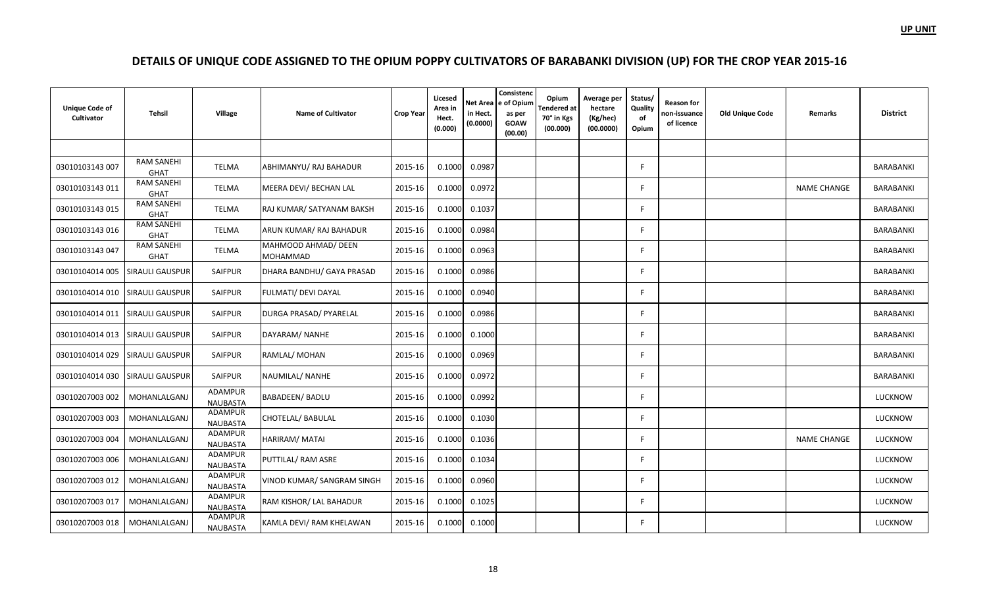| <b>Unique Code of</b><br>Cultivator | Tehsil                           | Village                           | <b>Name of Cultivator</b>              | <b>Crop Year</b> | Licesed<br>Area in<br>Hect.<br>(0.000) | Net Area<br>in Hect.<br>(0.0000) | Consistenc<br>e of Opium<br>as per<br><b>GOAW</b><br>(00.00) | Opium<br>Tendered at<br>70° in Kgs<br>(00.000) | Average per<br>hectare<br>(Kg/hec)<br>(00.0000) | Status/<br>Quality<br>of<br>Opium | Reason for<br>non-issuance<br>of licence | <b>Old Unique Code</b> | <b>Remarks</b>     | <b>District</b>  |
|-------------------------------------|----------------------------------|-----------------------------------|----------------------------------------|------------------|----------------------------------------|----------------------------------|--------------------------------------------------------------|------------------------------------------------|-------------------------------------------------|-----------------------------------|------------------------------------------|------------------------|--------------------|------------------|
|                                     |                                  |                                   |                                        |                  |                                        |                                  |                                                              |                                                |                                                 |                                   |                                          |                        |                    |                  |
| 03010103143 007                     | <b>RAM SANEHI</b><br><b>GHAT</b> | <b>TELMA</b>                      | ABHIMANYU/ RAJ BAHADUR                 | 2015-16          | 0.1000                                 | 0.0987                           |                                                              |                                                |                                                 | F.                                |                                          |                        |                    | BARABANKI        |
| 03010103143011                      | <b>RAM SANEHI</b><br>GHAT        | TELMA                             | MEERA DEVI/ BECHAN LAL                 | 2015-16          | 0.1000                                 | 0.0972                           |                                                              |                                                |                                                 | E                                 |                                          |                        | <b>NAME CHANGE</b> | <b>BARABANKI</b> |
| 03010103143 015                     | <b>RAM SANEHI</b><br><b>GHAT</b> | TELMA                             | RAJ KUMAR/ SATYANAM BAKSH              | 2015-16          | 0.1000                                 | 0.1037                           |                                                              |                                                |                                                 | F                                 |                                          |                        |                    | BARABANKI        |
| 03010103143 016                     | <b>RAM SANEHI</b><br><b>GHAT</b> | TELMA                             | ARUN KUMAR/RAJ BAHADUR                 | 2015-16          | 0.1000                                 | 0.0984                           |                                                              |                                                |                                                 | E                                 |                                          |                        |                    | BARABANKI        |
| 03010103143047                      | <b>RAM SANEHI</b><br><b>GHAT</b> | TELMA                             | MAHMOOD AHMAD/ DEEN<br><b>MOHAMMAD</b> | 2015-16          | 0.1000                                 | 0.0963                           |                                                              |                                                |                                                 | F                                 |                                          |                        |                    | BARABANKI        |
| 03010104014 005                     | <b>SIRAULI GAUSPUR</b>           | SAIFPUR                           | DHARA BANDHU/ GAYA PRASAD              | 2015-16          | 0.1000                                 | 0.0986                           |                                                              |                                                |                                                 | E                                 |                                          |                        |                    | BARABANKI        |
| 03010104014 010                     | <b>SIRAULI GAUSPUR</b>           | SAIFPUR                           | FULMATI/ DEVI DAYAL                    | 2015-16          | 0.1000                                 | 0.0940                           |                                                              |                                                |                                                 | F                                 |                                          |                        |                    | <b>BARABANKI</b> |
| 03010104014 011                     | <b>SIRAULI GAUSPUR</b>           | SAIFPUR                           | DURGA PRASAD/ PYARELAL                 | 2015-16          | 0.1000                                 | 0.0986                           |                                                              |                                                |                                                 | E                                 |                                          |                        |                    | <b>BARABANKI</b> |
| 03010104014 013                     | <b>SIRAULI GAUSPUR</b>           | <b>SAIFPUR</b>                    | DAYARAM/ NANHE                         | 2015-16          | 0.1000                                 | 0.1000                           |                                                              |                                                |                                                 | F                                 |                                          |                        |                    | BARABANKI        |
| 03010104014 029                     | SIRAULI GAUSPUR                  | <b>SAIFPUR</b>                    | RAMLAL/ MOHAN                          | 2015-16          | 0.1000                                 | 0.0969                           |                                                              |                                                |                                                 | F                                 |                                          |                        |                    | BARABANKI        |
| 03010104014 030                     | <b>SIRAULI GAUSPUR</b>           | SAIFPUR                           | NAUMILAL/ NANHE                        | 2015-16          | 0.1000                                 | 0.0972                           |                                                              |                                                |                                                 | E                                 |                                          |                        |                    | BARABANKI        |
| 03010207003 002                     | MOHANLALGANJ                     | ADAMPUR<br><b>NAUBASTA</b>        | <b>BABADEEN/ BADLU</b>                 | 2015-16          | 0.1000                                 | 0.0992                           |                                                              |                                                |                                                 | F.                                |                                          |                        |                    | <b>LUCKNOW</b>   |
| 03010207003 003                     | MOHANLALGANJ                     | <b>ADAMPUR</b><br><b>NAUBASTA</b> | <b>CHOTELAL/ BABULAL</b>               | 2015-16          | 0.1000                                 | 0.1030                           |                                                              |                                                |                                                 | F                                 |                                          |                        |                    | LUCKNOW          |
| 03010207003 004                     | MOHANLALGANJ                     | ADAMPUR<br><b>NAUBASTA</b>        | HARIRAM/ MATAI                         | 2015-16          | 0.1000                                 | 0.1036                           |                                                              |                                                |                                                 | F                                 |                                          |                        | <b>NAME CHANGE</b> | LUCKNOW          |
| 03010207003 006                     | MOHANLALGANJ                     | <b>ADAMPUR</b><br><b>NAUBASTA</b> | PUTTILAL/ RAM ASRE                     | 2015-16          | 0.1000                                 | 0.1034                           |                                                              |                                                |                                                 | F                                 |                                          |                        |                    | LUCKNOW          |
| 03010207003 012                     | MOHANLALGANJ                     | ADAMPUR<br><b>NAUBASTA</b>        | VINOD KUMAR/ SANGRAM SINGH             | 2015-16          | 0.1000                                 | 0.0960                           |                                                              |                                                |                                                 | F                                 |                                          |                        |                    | <b>LUCKNOW</b>   |
| 03010207003 017                     | MOHANLALGANJ                     | ADAMPUR<br><b>NAUBASTA</b>        | RAM KISHOR/ LAL BAHADUR                | 2015-16          | 0.1000                                 | 0.1025                           |                                                              |                                                |                                                 | F                                 |                                          |                        |                    | LUCKNOW          |
| 03010207003 018                     | MOHANLALGANJ                     | ADAMPUR<br>NAUBASTA               | KAMLA DEVI/ RAM KHELAWAN               | 2015-16          | 0.1000                                 | 0.1000                           |                                                              |                                                |                                                 | F                                 |                                          |                        |                    | LUCKNOW          |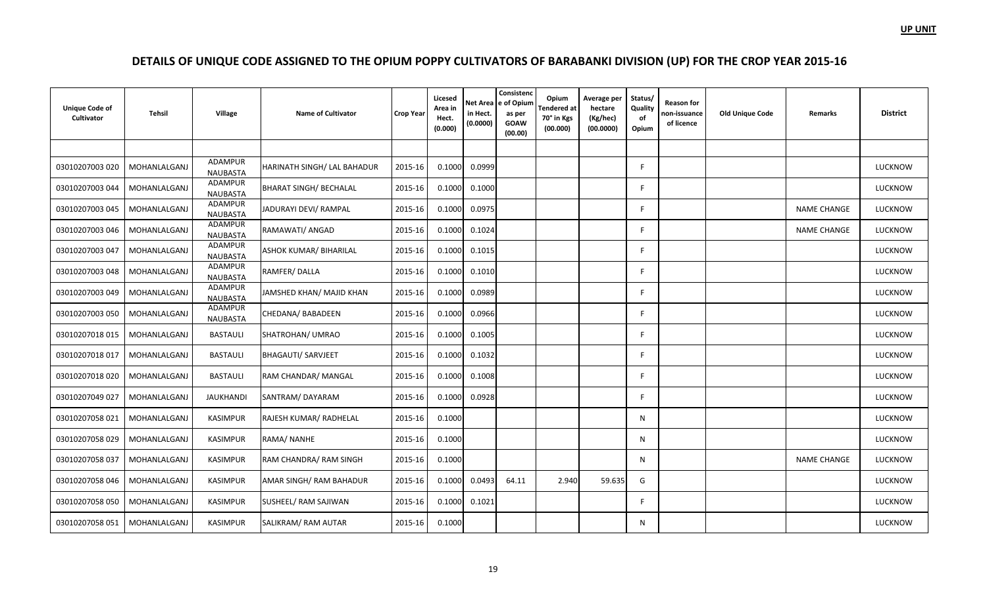| <b>Unique Code of</b><br>Cultivator | Tehsil       | Village                           | <b>Name of Cultivator</b>     | <b>Crop Year</b> | Licesed<br>Area in<br>Hect.<br>(0.000) | in Hect.<br>(0.0000) | Consistenc<br>Net Area e of Opium<br>as per<br><b>GOAW</b><br>(00.00) | Opium<br><b>Tendered</b> at<br>70° in Kgs<br>(00.000) | Average per<br>hectare<br>(Kg/hec)<br>(00.0000) | Status/<br>Quality<br>of<br>Opium | <b>Reason for</b><br>non-issuance<br>of licence | <b>Old Unique Code</b> | Remarks            | <b>District</b> |
|-------------------------------------|--------------|-----------------------------------|-------------------------------|------------------|----------------------------------------|----------------------|-----------------------------------------------------------------------|-------------------------------------------------------|-------------------------------------------------|-----------------------------------|-------------------------------------------------|------------------------|--------------------|-----------------|
|                                     |              |                                   |                               |                  |                                        |                      |                                                                       |                                                       |                                                 |                                   |                                                 |                        |                    |                 |
| 03010207003 020                     | MOHANLALGANJ | ADAMPUR<br><b>NAUBASTA</b>        | HARINATH SINGH/ LAL BAHADUR   | 2015-16          | 0.1000                                 | 0.0999               |                                                                       |                                                       |                                                 | E                                 |                                                 |                        |                    | LUCKNOW         |
| 03010207003 044                     | MOHANLALGANJ | ADAMPUR<br><b>NAUBASTA</b>        | <b>BHARAT SINGH/ BECHALAL</b> | 2015-16          | 0.1000                                 | 0.1000               |                                                                       |                                                       |                                                 | F                                 |                                                 |                        |                    | <b>LUCKNOW</b>  |
| 03010207003 045                     | MOHANLALGANJ | ADAMPUR<br><b>NAUBASTA</b>        | JADURAYI DEVI/ RAMPAL         | 2015-16          | 0.1000                                 | 0.0975               |                                                                       |                                                       |                                                 | F                                 |                                                 |                        | NAME CHANGE        | LUCKNOW         |
| 03010207003 046                     | MOHANLALGANJ | ADAMPUR<br><b>NAUBASTA</b>        | RAMAWATI/ ANGAD               | 2015-16          | 0.1000                                 | 0.1024               |                                                                       |                                                       |                                                 | F                                 |                                                 |                        | <b>NAME CHANGE</b> | LUCKNOW         |
| 03010207003 047                     | MOHANLALGANJ | ADAMPUR<br><b>NAUBASTA</b>        | <b>ASHOK KUMAR/ BIHARILAL</b> | 2015-16          | 0.1000                                 | 0.1015               |                                                                       |                                                       |                                                 | F                                 |                                                 |                        |                    | LUCKNOW         |
| 03010207003 048                     | MOHANLALGANJ | ADAMPUR<br><b>NAUBASTA</b>        | RAMFER/DALLA                  | 2015-16          | 0.1000                                 | 0.1010               |                                                                       |                                                       |                                                 | F                                 |                                                 |                        |                    | LUCKNOW         |
| 03010207003 049                     | MOHANLALGANJ | <b>ADAMPUR</b><br><b>NAUBASTA</b> | JAMSHED KHAN/ MAJID KHAN      | 2015-16          | 0.1000                                 | 0.0989               |                                                                       |                                                       |                                                 | F                                 |                                                 |                        |                    | LUCKNOW         |
| 03010207003 050                     | MOHANLALGANJ | ADAMPUR<br><b>NAUBASTA</b>        | CHEDANA/ BABADEEN             | 2015-16          | 0.1000                                 | 0.0966               |                                                                       |                                                       |                                                 | F                                 |                                                 |                        |                    | LUCKNOW         |
| 03010207018 015                     | MOHANLALGANJ | <b>BASTAULI</b>                   | SHATROHAN/ UMRAO              | 2015-16          | 0.1000                                 | 0.1005               |                                                                       |                                                       |                                                 | F                                 |                                                 |                        |                    | <b>LUCKNOW</b>  |
| 03010207018 017                     | MOHANLALGANJ | <b>BASTAULI</b>                   | <b>BHAGAUTI/ SARVJEET</b>     | 2015-16          | 0.1000                                 | 0.1032               |                                                                       |                                                       |                                                 | F.                                |                                                 |                        |                    | <b>LUCKNOW</b>  |
| 03010207018020                      | MOHANLALGANJ | <b>BASTAULI</b>                   | RAM CHANDAR/ MANGAL           | 2015-16          | 0.1000                                 | 0.1008               |                                                                       |                                                       |                                                 | F                                 |                                                 |                        |                    | LUCKNOW         |
| 03010207049 027                     | MOHANLALGANJ | <b>JAUKHANDI</b>                  | SANTRAM/DAYARAM               | 2015-16          | 0.1000                                 | 0.0928               |                                                                       |                                                       |                                                 | F.                                |                                                 |                        |                    | LUCKNOW         |
| 03010207058021                      | MOHANLALGANJ | <b>KASIMPUR</b>                   | RAJESH KUMAR/ RADHELAL        | 2015-16          | 0.1000                                 |                      |                                                                       |                                                       |                                                 | N                                 |                                                 |                        |                    | LUCKNOW         |
| 03010207058029                      | MOHANLALGANJ | <b>KASIMPUR</b>                   | RAMA/ NANHE                   | 2015-16          | 0.1000                                 |                      |                                                                       |                                                       |                                                 | N                                 |                                                 |                        |                    | LUCKNOW         |
| 03010207058 037                     | MOHANLALGANJ | KASIMPUR                          | RAM CHANDRA/ RAM SINGH        | 2015-16          | 0.1000                                 |                      |                                                                       |                                                       |                                                 | N                                 |                                                 |                        | <b>NAME CHANGE</b> | <b>LUCKNOW</b>  |
| 03010207058 046                     | MOHANLALGANJ | <b>KASIMPUR</b>                   | AMAR SINGH/ RAM BAHADUR       | 2015-16          | 0.1000                                 | 0.0493               | 64.11                                                                 | 2.940                                                 | 59.635                                          | G                                 |                                                 |                        |                    | <b>LUCKNOW</b>  |
| 03010207058 050                     | MOHANLALGANJ | <b>KASIMPUR</b>                   | SUSHEEL/ RAM SAJIWAN          | 2015-16          | 0.1000                                 | 0.1021               |                                                                       |                                                       |                                                 | F                                 |                                                 |                        |                    | LUCKNOW         |
| 03010207058 051                     | MOHANLALGANJ | <b>KASIMPUR</b>                   | SALIKRAM/RAM AUTAR            | 2015-16          | 0.1000                                 |                      |                                                                       |                                                       |                                                 | N                                 |                                                 |                        |                    | LUCKNOW         |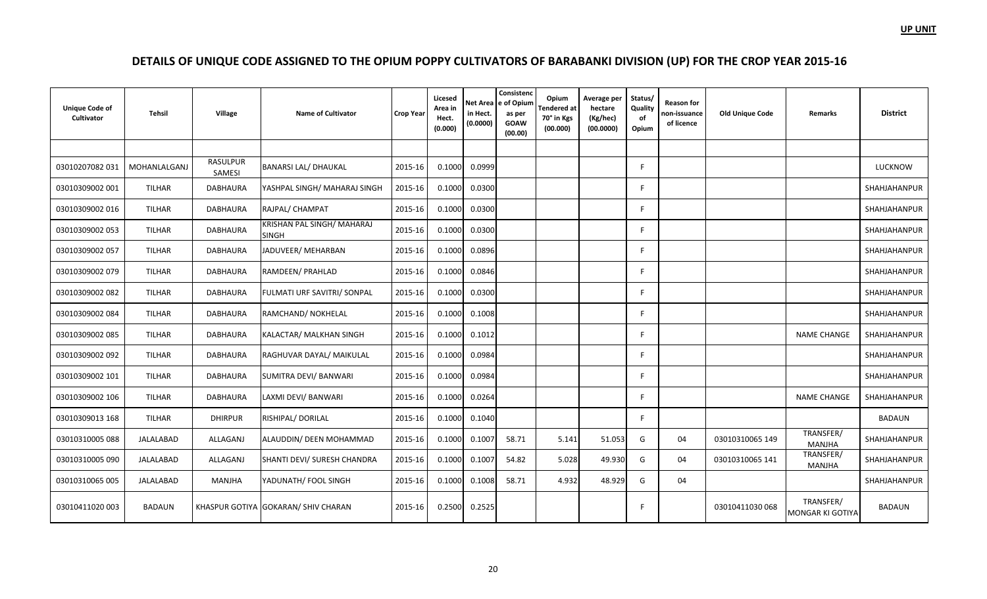| <b>Unique Code of</b><br>Cultivator | Tehsil           | Village            | <b>Name of Cultivator</b>                  | <b>Crop Year</b> | Licesed<br>Area in<br>Hect.<br>(0.000) | in Hect.<br>(0.0000) | Consistenc<br>Net Area e of Opium<br>as per<br><b>GOAW</b><br>(00.00) | Opium<br>Tendered at<br>70° in Kgs<br>(00.000) | Average per<br>hectare<br>(Kg/hec)<br>(00.0000) | Status/<br>Quality<br>of<br>Opium | <b>Reason for</b><br>non-issuance<br>of licence | <b>Old Unique Code</b> | <b>Remarks</b>                       | <b>District</b>     |
|-------------------------------------|------------------|--------------------|--------------------------------------------|------------------|----------------------------------------|----------------------|-----------------------------------------------------------------------|------------------------------------------------|-------------------------------------------------|-----------------------------------|-------------------------------------------------|------------------------|--------------------------------------|---------------------|
|                                     |                  |                    |                                            |                  |                                        |                      |                                                                       |                                                |                                                 |                                   |                                                 |                        |                                      |                     |
| 03010207082031                      | MOHANLALGANJ     | RASULPUR<br>SAMESI | <b>BANARSI LAL/ DHAUKAL</b>                | 2015-16          | 0.1000                                 | 0.0999               |                                                                       |                                                |                                                 | E                                 |                                                 |                        |                                      | LUCKNOW             |
| 03010309002 001                     | <b>TILHAR</b>    | <b>DABHAURA</b>    | YASHPAL SINGH/ MAHARAJ SINGH               | 2015-16          | 0.1000                                 | 0.0300               |                                                                       |                                                |                                                 | E                                 |                                                 |                        |                                      | SHAHJAHANPUR        |
| 03010309002 016                     | <b>TILHAR</b>    | DABHAURA           | RAJPAL/ CHAMPAT                            | 2015-16          | 0.1000                                 | 0.0300               |                                                                       |                                                |                                                 | F                                 |                                                 |                        |                                      | SHAHJAHANPUR        |
| 03010309002 053                     | <b>TILHAR</b>    | <b>DABHAURA</b>    | KRISHAN PAL SINGH/ MAHARAJ<br><b>SINGH</b> | 2015-16          | 0.1000                                 | 0.0300               |                                                                       |                                                |                                                 | F                                 |                                                 |                        |                                      | SHAHJAHANPUR        |
| 03010309002 057                     | <b>TILHAR</b>    | <b>DABHAURA</b>    | JADUVEER/ MEHARBAN                         | 2015-16          | 0.1000                                 | 0.0896               |                                                                       |                                                |                                                 | F.                                |                                                 |                        |                                      | SHAHJAHANPUR        |
| 03010309002 079                     | <b>TILHAR</b>    | <b>DABHAURA</b>    | RAMDEEN/ PRAHLAD                           | 2015-16          | 0.1000                                 | 0.0846               |                                                                       |                                                |                                                 | F                                 |                                                 |                        |                                      | SHAHJAHANPUR        |
| 03010309002082                      | <b>TILHAR</b>    | DABHAURA           | FULMATI URF SAVITRI/ SONPAL                | 2015-16          | 0.1000                                 | 0.0300               |                                                                       |                                                |                                                 | F                                 |                                                 |                        |                                      | SHAHJAHANPUR        |
| 03010309002 084                     | <b>TILHAR</b>    | DABHAURA           | RAMCHAND/ NOKHELAL                         | 2015-16          | 0.1000                                 | 0.1008               |                                                                       |                                                |                                                 | F                                 |                                                 |                        |                                      | SHAHJAHANPUR        |
| 03010309002 085                     | <b>TILHAR</b>    | <b>DABHAURA</b>    | KALACTAR/ MALKHAN SINGH                    | 2015-16          | 0.1000                                 | 0.1012               |                                                                       |                                                |                                                 | F                                 |                                                 |                        | <b>NAME CHANGE</b>                   | SHAHJAHANPUR        |
| 03010309002 092                     | <b>TILHAR</b>    | <b>DABHAURA</b>    | RAGHUVAR DAYAL/ MAIKULAL                   | 2015-16          | 0.1000                                 | 0.0984               |                                                                       |                                                |                                                 | E                                 |                                                 |                        |                                      | SHAHJAHANPUR        |
| 03010309002 101                     | <b>TILHAR</b>    | <b>DABHAURA</b>    | SUMITRA DEVI/ BANWARI                      | 2015-16          | 0.1000                                 | 0.0984               |                                                                       |                                                |                                                 | F.                                |                                                 |                        |                                      | SHAHJAHANPUR        |
| 03010309002 106                     | <b>TILHAR</b>    | DABHAURA           | LAXMI DEVI/ BANWARI                        | 2015-16          | 0.1000                                 | 0.0264               |                                                                       |                                                |                                                 | F.                                |                                                 |                        | <b>NAME CHANGE</b>                   | SHAHJAHANPUR        |
| 03010309013 168                     | <b>TILHAR</b>    | <b>DHIRPUR</b>     | RISHIPAL/DORILAL                           | 2015-16          | 0.1000                                 | 0.1040               |                                                                       |                                                |                                                 | F                                 |                                                 |                        |                                      | <b>BADAUN</b>       |
| 03010310005 088                     | <b>JALALABAD</b> | ALLAGANJ           | ALAUDDIN/ DEEN MOHAMMAD                    | 2015-16          | 0.1000                                 | 0.1007               | 58.71                                                                 | 5.141                                          | 51.053                                          | G                                 | 04                                              | 03010310065 149        | TRANSFER/<br><b>MANJHA</b>           | <b>SHAHJAHANPUR</b> |
| 03010310005 090                     | JALALABAD        | ALLAGANJ           | SHANTI DEVI/ SURESH CHANDRA                | 2015-16          | 0.1000                                 | 0.1007               | 54.82                                                                 | 5.028                                          | 49.930                                          | G                                 | 04                                              | 03010310065 141        | TRANSFER/<br><b>MANJHA</b>           | SHAHJAHANPUR        |
| 03010310065 005                     | <b>JALALABAD</b> | <b>MANJHA</b>      | YADUNATH/ FOOL SINGH                       | 2015-16          | 0.1000                                 | 0.1008               | 58.71                                                                 | 4.932                                          | 48.929                                          | G                                 | 04                                              |                        |                                      | SHAHJAHANPUR        |
| 03010411020 003                     | <b>BADAUN</b>    |                    | KHASPUR GOTIYA GOKARAN/ SHIV CHARAN        | 2015-16          | 0.2500                                 | 0.2525               |                                                                       |                                                |                                                 | F                                 |                                                 | 03010411030 068        | TRANSFER/<br><b>MONGAR KI GOTIYA</b> | <b>BADAUN</b>       |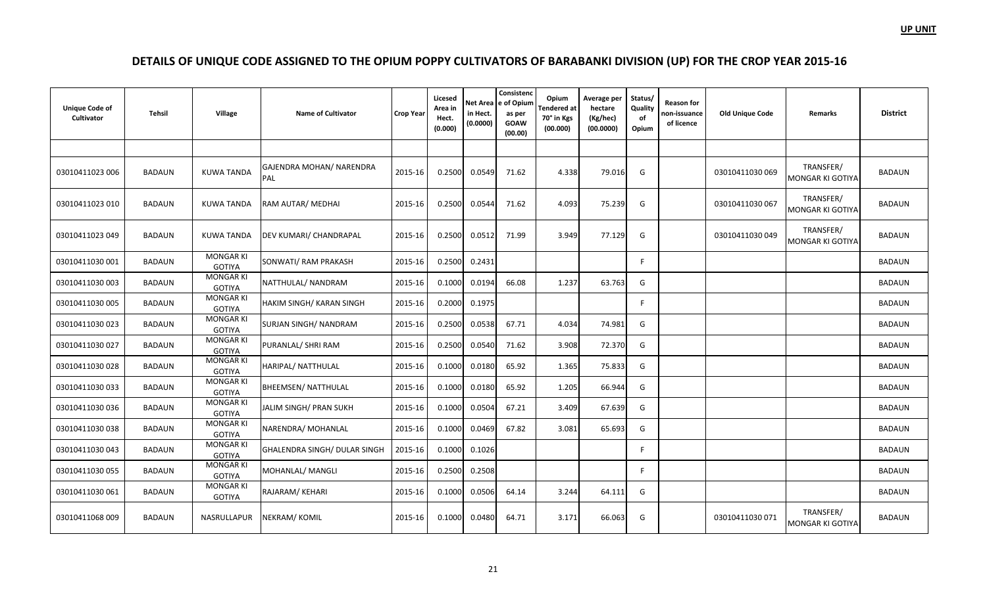| <b>Unique Code of</b><br>Cultivator | Tehsil        | Village                           | <b>Name of Cultivator</b>       | <b>Crop Year</b> | Licesed<br>Area in<br>Hect.<br>(0.000) | Net Area<br>in Hect.<br>(0.0000) | Consistenc<br>e of Opium<br>as per<br><b>GOAW</b><br>(00.00) | Opium<br>Tendered at<br>70° in Kgs<br>(00.000) | Average per<br>hectare<br>(Kg/hec)<br>(00.0000) | Status/<br>Quality<br>of<br>Opium | <b>Reason for</b><br>non-issuance<br>of licence | <b>Old Unique Code</b> | Remarks                              | <b>District</b> |
|-------------------------------------|---------------|-----------------------------------|---------------------------------|------------------|----------------------------------------|----------------------------------|--------------------------------------------------------------|------------------------------------------------|-------------------------------------------------|-----------------------------------|-------------------------------------------------|------------------------|--------------------------------------|-----------------|
|                                     |               |                                   |                                 |                  |                                        |                                  |                                                              |                                                |                                                 |                                   |                                                 |                        |                                      |                 |
| 03010411023 006                     | <b>BADAUN</b> | <b>KUWA TANDA</b>                 | GAJENDRA MOHAN/ NARENDRA<br>PAL | 2015-16          | 0.2500                                 | 0.0549                           | 71.62                                                        | 4.338                                          | 79.016                                          | G                                 |                                                 | 03010411030 069        | TRANSFER/<br><b>MONGAR KI GOTIYA</b> | <b>BADAUN</b>   |
| 03010411023 010                     | <b>BADAUN</b> | KUWA TANDA                        | RAM AUTAR/ MEDHAI               | 2015-16          | 0.2500                                 | 0.0544                           | 71.62                                                        | 4.093                                          | 75.239                                          | G                                 |                                                 | 03010411030 067        | TRANSFER/<br>MONGAR KI GOTIYA        | <b>BADAUN</b>   |
| 03010411023049                      | <b>BADAUN</b> | <b>KUWA TANDA</b>                 | <b>DEV KUMARI/ CHANDRAPAL</b>   | 2015-16          | 0.2500                                 | 0.0512                           | 71.99                                                        | 3.949                                          | 77.129                                          | G                                 |                                                 | 03010411030049         | TRANSFER/<br>MONGAR KI GOTIYA        | <b>BADAUN</b>   |
| 03010411030 001                     | <b>BADAUN</b> | <b>MONGAR KI</b><br><b>GOTIYA</b> | SONWATI/ RAM PRAKASH            | 2015-16          | 0.2500                                 | 0.2431                           |                                                              |                                                |                                                 | F                                 |                                                 |                        |                                      | <b>BADAUN</b>   |
| 03010411030 003                     | <b>BADAUN</b> | <b>MONGAR KI</b><br><b>GOTIYA</b> | NATTHULAL/NANDRAM               | 2015-16          | 0.1000                                 | 0.0194                           | 66.08                                                        | 1.237                                          | 63.763                                          | G                                 |                                                 |                        |                                      | <b>BADAUN</b>   |
| 03010411030 005                     | <b>BADAUN</b> | <b>MONGAR KI</b><br><b>GOTIYA</b> | <b>HAKIM SINGH/ KARAN SINGH</b> | 2015-16          | 0.2000                                 | 0.1975                           |                                                              |                                                |                                                 | F                                 |                                                 |                        |                                      | <b>BADAUN</b>   |
| 03010411030 023                     | <b>BADAUN</b> | <b>MONGAR KI</b><br><b>GOTIYA</b> | <b>SURJAN SINGH/ NANDRAM</b>    | 2015-16          | 0.2500                                 | 0.0538                           | 67.71                                                        | 4.034                                          | 74.981                                          | G                                 |                                                 |                        |                                      | <b>BADAUN</b>   |
| 03010411030027                      | <b>BADAUN</b> | <b>MONGAR KI</b><br><b>GOTIYA</b> | PURANLAL/ SHRI RAM              | 2015-16          | 0.2500                                 | 0.0540                           | 71.62                                                        | 3.908                                          | 72.370                                          | G                                 |                                                 |                        |                                      | <b>BADAUN</b>   |
| 03010411030 028                     | <b>BADAUN</b> | <b>MONGAR KI</b><br><b>GOTIYA</b> | HARIPAL/ NATTHULAL              | 2015-16          | 0.1000                                 | 0.0180                           | 65.92                                                        | 1.365                                          | 75.833                                          | G                                 |                                                 |                        |                                      | <b>BADAUN</b>   |
| 03010411030033                      | <b>BADAUN</b> | <b>MONGAR KI</b><br><b>GOTIYA</b> | <b>BHEEMSEN/ NATTHULAL</b>      | 2015-16          | 0.1000                                 | 0.0180                           | 65.92                                                        | 1.205                                          | 66.944                                          | G                                 |                                                 |                        |                                      | <b>BADAUN</b>   |
| 03010411030036                      | <b>BADAUN</b> | MONGAR KI<br><b>GOTIYA</b>        | JALIM SINGH/ PRAN SUKH          | 2015-16          | 0.1000                                 | 0.0504                           | 67.21                                                        | 3.409                                          | 67.639                                          | G                                 |                                                 |                        |                                      | <b>BADAUN</b>   |
| 03010411030038                      | <b>BADAUN</b> | <b>MONGAR KI</b><br><b>GOTIYA</b> | NARENDRA/ MOHANLAL              | 2015-16          | 0.1000                                 | 0.0469                           | 67.82                                                        | 3.081                                          | 65.693                                          | G                                 |                                                 |                        |                                      | BADAUN          |
| 03010411030043                      | <b>BADAUN</b> | <b>MONGAR KI</b><br><b>GOTIYA</b> | GHALENDRA SINGH/ DULAR SINGH    | 2015-16          | 0.1000                                 | 0.1026                           |                                                              |                                                |                                                 | F                                 |                                                 |                        |                                      | BADAUN          |
| 03010411030055                      | <b>BADAUN</b> | <b>MONGAR KI</b><br><b>GOTIYA</b> | MOHANLAL/ MANGLI                | 2015-16          | 0.2500                                 | 0.2508                           |                                                              |                                                |                                                 | F                                 |                                                 |                        |                                      | BADAUN          |
| 03010411030 061                     | <b>BADAUN</b> | <b>MONGAR KI</b><br><b>GOTIYA</b> | RAJARAM/KEHARI                  | 2015-16          | 0.1000                                 | 0.0506                           | 64.14                                                        | 3.244                                          | 64.111                                          | G                                 |                                                 |                        |                                      | <b>BADAUN</b>   |
| 03010411068009                      | <b>BADAUN</b> | NASRULLAPUR                       | NEKRAM/KOMIL                    | 2015-16          | 0.1000                                 | 0.0480                           | 64.71                                                        | 3.171                                          | 66.063                                          | G                                 |                                                 | 03010411030 071        | TRANSFER/<br>MONGAR KI GOTIYA        | <b>BADAUN</b>   |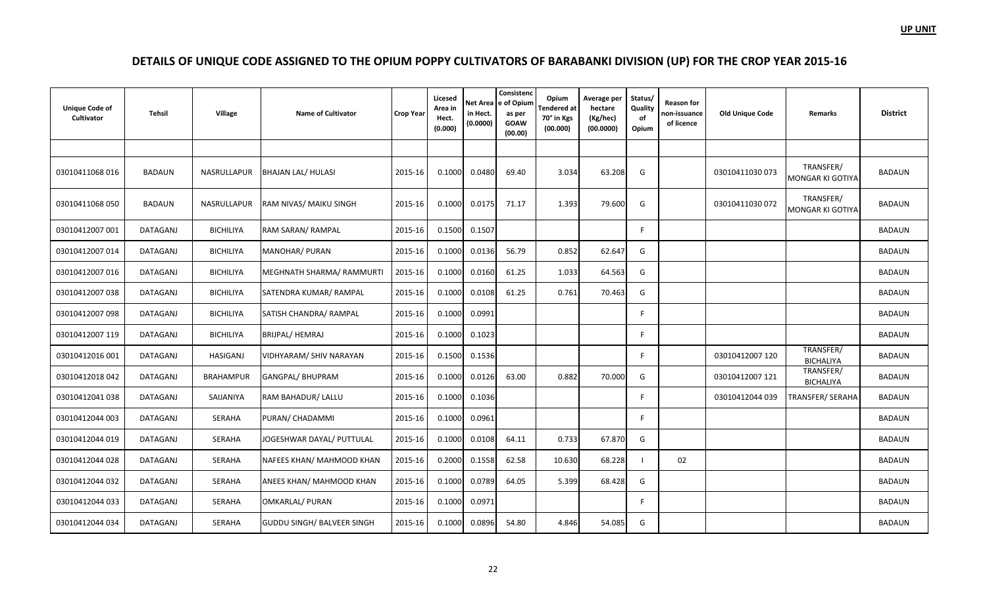| <b>Unique Code of</b><br>Cultivator | <b>Tehsil</b>   | Village          | <b>Name of Cultivator</b>         | <b>Crop Year</b> | Licesed<br>Area in<br>Hect.<br>(0.000) | Net Area<br>in Hect.<br>(0.0000) | Consistenc<br>e of Opium<br>as per<br><b>GOAW</b><br>(00.00) | Opium<br><b>Tendered</b> at<br>70° in Kgs<br>(00.000) | Average per<br>hectare<br>(Kg/hec)<br>(00.0000) | Status/<br>Quality<br>of<br>Opium | <b>Reason for</b><br>non-issuance<br>of licence | <b>Old Unique Code</b> | Remarks                       | <b>District</b> |
|-------------------------------------|-----------------|------------------|-----------------------------------|------------------|----------------------------------------|----------------------------------|--------------------------------------------------------------|-------------------------------------------------------|-------------------------------------------------|-----------------------------------|-------------------------------------------------|------------------------|-------------------------------|-----------------|
|                                     |                 |                  |                                   |                  |                                        |                                  |                                                              |                                                       |                                                 |                                   |                                                 |                        |                               |                 |
| 03010411068016                      | <b>BADAUN</b>   | NASRULLAPUR      | BHAJAN LAL/ HULASI                | 2015-16          | 0.1000                                 | 0.0480                           | 69.40                                                        | 3.034                                                 | 63.208                                          | G                                 |                                                 | 03010411030 073        | TRANSFER/<br>MONGAR KI GOTIYA | <b>BADAUN</b>   |
| 03010411068 050                     | <b>BADAUN</b>   | NASRULLAPUR      | <b>RAM NIVAS/ MAIKU SINGH</b>     | 2015-16          | 0.1000                                 | 0.0175                           | 71.17                                                        | 1.393                                                 | 79.600                                          | G                                 |                                                 | 03010411030 072        | TRANSFER/<br>MONGAR KI GOTIYA | <b>BADAUN</b>   |
| 03010412007 001                     | DATAGANJ        | <b>BICHILIYA</b> | RAM SARAN/ RAMPAL                 | 2015-16          | 0.1500                                 | 0.1507                           |                                                              |                                                       |                                                 | E                                 |                                                 |                        |                               | <b>BADAUN</b>   |
| 03010412007 014                     | DATAGANJ        | <b>BICHILIYA</b> | MANOHAR/ PURAN                    | 2015-16          | 0.1000                                 | 0.0136                           | 56.79                                                        | 0.852                                                 | 62.647                                          | G                                 |                                                 |                        |                               | <b>BADAUN</b>   |
| 03010412007 016                     | DATAGANJ        | <b>BICHILIYA</b> | MEGHNATH SHARMA/ RAMMURTI         | 2015-16          | 0.1000                                 | 0.0160                           | 61.25                                                        | 1.033                                                 | 64.563                                          | G                                 |                                                 |                        |                               | <b>BADAUN</b>   |
| 03010412007038                      | DATAGANJ        | <b>BICHILIYA</b> | SATENDRA KUMAR/RAMPAL             | 2015-16          | 0.1000                                 | 0.0108                           | 61.25                                                        | 0.761                                                 | 70.463                                          | G                                 |                                                 |                        |                               | <b>BADAUN</b>   |
| 03010412007 098                     | DATAGANJ        | <b>BICHILIYA</b> | SATISH CHANDRA/ RAMPAL            | 2015-16          | 0.1000                                 | 0.0991                           |                                                              |                                                       |                                                 | E                                 |                                                 |                        |                               | <b>BADAUN</b>   |
| 03010412007 119                     | <b>DATAGANJ</b> | <b>BICHILIYA</b> | <b>BRIJPAL/ HEMRAJ</b>            | 2015-16          | 0.1000                                 | 0.1023                           |                                                              |                                                       |                                                 | F                                 |                                                 |                        |                               | <b>BADAUN</b>   |
| 03010412016 001                     | <b>DATAGANJ</b> | <b>HASIGANJ</b>  | VIDHYARAM/ SHIV NARAYAN           | 2015-16          | 0.1500                                 | 0.1536                           |                                                              |                                                       |                                                 | F                                 |                                                 | 03010412007 120        | TRANSFER/<br><b>BICHALIYA</b> | <b>BADAUN</b>   |
| 03010412018 042                     | <b>DATAGANJ</b> | <b>BRAHAMPUR</b> | GANGPAL/ BHUPRAM                  | 2015-16          | 0.1000                                 | 0.0126                           | 63.00                                                        | 0.882                                                 | 70.000                                          | G                                 |                                                 | 03010412007 121        | TRANSFER/<br><b>BICHALIYA</b> | <b>BADAUN</b>   |
| 03010412041 038                     | <b>DATAGANJ</b> | SAIJANIYA        | RAM BAHADUR/ LALLU                | 2015-16          | 0.1000                                 | 0.1036                           |                                                              |                                                       |                                                 | E                                 |                                                 | 03010412044 039        | TRANSFER/SERAHA               | <b>BADAUN</b>   |
| 03010412044 003                     | <b>DATAGANJ</b> | <b>SERAHA</b>    | PURAN/ CHADAMMI                   | 2015-16          | 0.1000                                 | 0.0961                           |                                                              |                                                       |                                                 | F                                 |                                                 |                        |                               | <b>BADAUN</b>   |
| 03010412044 019                     | <b>DATAGANJ</b> | <b>SERAHA</b>    | JOGESHWAR DAYAL/ PUTTULAL         | 2015-16          | 0.1000                                 | 0.0108                           | 64.11                                                        | 0.733                                                 | 67.870                                          | G                                 |                                                 |                        |                               | <b>BADAUN</b>   |
| 03010412044028                      | <b>DATAGANJ</b> | SERAHA           | NAFEES KHAN/ MAHMOOD KHAN         | 2015-16          | 0.2000                                 | 0.1558                           | 62.58                                                        | 10.630                                                | 68.228                                          |                                   | 02                                              |                        |                               | <b>BADAUN</b>   |
| 03010412044 032                     | <b>DATAGANJ</b> | <b>SERAHA</b>    | ANEES KHAN/ MAHMOOD KHAN          | 2015-16          | 0.1000                                 | 0.0789                           | 64.05                                                        | 5.399                                                 | 68.428                                          | G                                 |                                                 |                        |                               | <b>BADAUN</b>   |
| 03010412044 033                     | DATAGANJ        | SERAHA           | OMKARLAL/ PURAN                   | 2015-16          | 0.1000                                 | 0.0971                           |                                                              |                                                       |                                                 | F                                 |                                                 |                        |                               | <b>BADAUN</b>   |
| 03010412044 034                     | <b>DATAGANJ</b> | SERAHA           | <b>GUDDU SINGH/ BALVEER SINGH</b> | 2015-16          | 0.1000                                 | 0.0896                           | 54.80                                                        | 4.846                                                 | 54.085                                          | G                                 |                                                 |                        |                               | <b>BADAUN</b>   |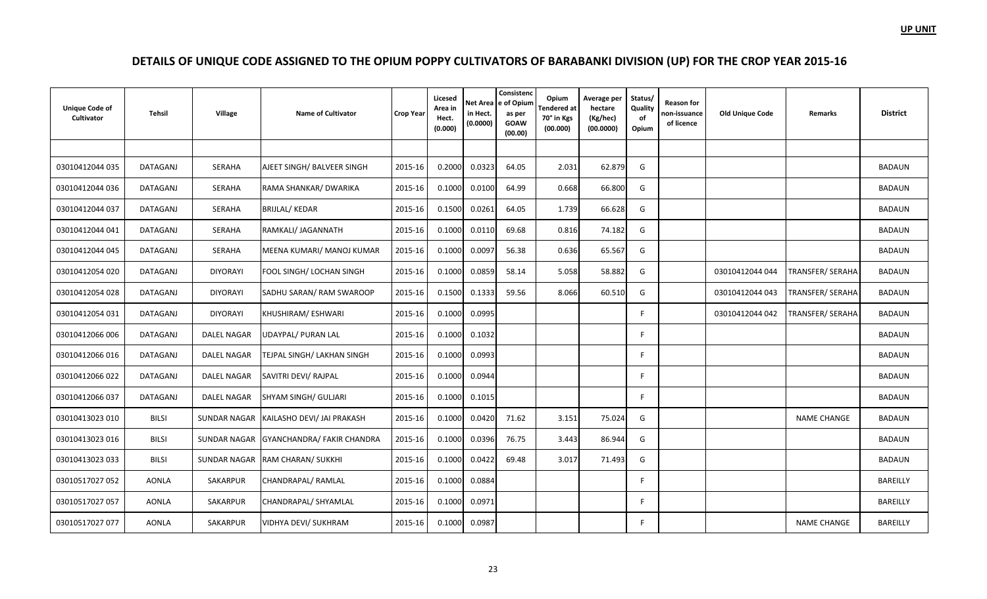| <b>Unique Code of</b><br>Cultivator | Tehsil          | Village         | <b>Name of Cultivator</b>               | <b>Crop Year</b> | Licesed<br>Area in<br>Hect.<br>(0.000) | in Hect.<br>(0.0000) | Consistenc<br>Net Area e of Opium<br>as per<br><b>GOAW</b><br>(00.00) | Opium<br>endered at<br>70° in Kgs<br>(00.000) | Average per<br>hectare<br>(Kg/hec)<br>(00.0000) | Status/<br>Quality<br>of<br>Opium | Reason for<br>non-issuance<br>of licence | <b>Old Unique Code</b> | Remarks                 | <b>District</b> |
|-------------------------------------|-----------------|-----------------|-----------------------------------------|------------------|----------------------------------------|----------------------|-----------------------------------------------------------------------|-----------------------------------------------|-------------------------------------------------|-----------------------------------|------------------------------------------|------------------------|-------------------------|-----------------|
|                                     |                 |                 |                                         |                  |                                        |                      |                                                                       |                                               |                                                 |                                   |                                          |                        |                         |                 |
| 03010412044 035                     | DATAGANJ        | SERAHA          | AJEET SINGH/ BALVEER SINGH              | 2015-16          | 0.2000                                 | 0.0323               | 64.05                                                                 | 2.031                                         | 62.879                                          | G                                 |                                          |                        |                         | <b>BADAUN</b>   |
| 03010412044 036                     | DATAGANJ        | SERAHA          | RAMA SHANKAR/ DWARIKA                   | 2015-16          | 0.1000                                 | 0.0100               | 64.99                                                                 | 0.668                                         | 66.800                                          | G                                 |                                          |                        |                         | <b>BADAUN</b>   |
| 03010412044 037                     | DATAGANJ        | SERAHA          | BRIJLAL/KEDAR                           | 2015-16          | 0.1500                                 | 0.0261               | 64.05                                                                 | 1.739                                         | 66.628                                          | G                                 |                                          |                        |                         | <b>BADAUN</b>   |
| 03010412044 041                     | <b>DATAGANJ</b> | SERAHA          | RAMKALI/ JAGANNATH                      | 2015-16          | 0.1000                                 | 0.0110               | 69.68                                                                 | 0.816                                         | 74.182                                          | G                                 |                                          |                        |                         | <b>BADAUN</b>   |
| 03010412044 045                     | <b>DATAGANJ</b> | SERAHA          | MEENA KUMARI/ MANOJ KUMAR               | 2015-16          | 0.1000                                 | 0.0097               | 56.38                                                                 | 0.636                                         | 65.567                                          | G                                 |                                          |                        |                         | <b>BADAUN</b>   |
| 03010412054 020                     | DATAGANJ        | <b>DIYORAYI</b> | FOOL SINGH/ LOCHAN SINGH                | 2015-16          | 0.1000                                 | 0.0859               | 58.14                                                                 | 5.058                                         | 58.882                                          | G                                 |                                          | 03010412044 044        | TRANSFER/ SERAHA        | <b>BADAUN</b>   |
| 03010412054 028                     | <b>DATAGANJ</b> | <b>DIYORAYI</b> | SADHU SARAN/RAM SWAROOP                 | 2015-16          | 0.1500                                 | 0.1333               | 59.56                                                                 | 8.066                                         | 60.510                                          | G                                 |                                          | 03010412044 043        | <b>TRANSFER/ SERAHA</b> | <b>BADAUN</b>   |
| 03010412054 031                     | DATAGANJ        | <b>DIYORAYI</b> | KHUSHIRAM/ESHWARI                       | 2015-16          | 0.1000                                 | 0.0995               |                                                                       |                                               |                                                 | F                                 |                                          | 03010412044 042        | <b>TRANSFER/ SERAHA</b> | <b>BADAUN</b>   |
| 03010412066 006                     | <b>DATAGANJ</b> | DALEL NAGAR     | UDAYPAL/ PURAN LAL                      | 2015-16          | 0.1000                                 | 0.1032               |                                                                       |                                               |                                                 | F                                 |                                          |                        |                         | <b>BADAUN</b>   |
| 03010412066 016                     | DATAGANJ        | DALEL NAGAR     | TEJPAL SINGH/ LAKHAN SINGH              | 2015-16          | 0.1000                                 | 0.0993               |                                                                       |                                               |                                                 | F.                                |                                          |                        |                         | <b>BADAUN</b>   |
| 03010412066022                      | DATAGANJ        | DALEL NAGAR     | SAVITRI DEVI/ RAJPAL                    | 2015-16          | 0.1000                                 | 0.0944               |                                                                       |                                               |                                                 | -F                                |                                          |                        |                         | <b>BADAUN</b>   |
| 03010412066037                      | DATAGANJ        | DALEL NAGAR     | SHYAM SINGH/ GULJARI                    | 2015-16          | 0.1000                                 | 0.1015               |                                                                       |                                               |                                                 | F.                                |                                          |                        |                         | BADAUN          |
| 03010413023 010                     | <b>BILSI</b>    |                 | SUNDAR NAGAR KAILASHO DEVI/ JAI PRAKASH | 2015-16          | 0.1000                                 | 0.0420               | 71.62                                                                 | 3.151                                         | 75.024                                          | G                                 |                                          |                        | <b>NAME CHANGE</b>      | <b>BADAUN</b>   |
| 03010413023 016                     | <b>BILSI</b>    |                 | SUNDAR NAGAR GYANCHANDRA/ FAKIR CHANDRA | 2015-16          | 0.1000                                 | 0.0396               | 76.75                                                                 | 3.443                                         | 86.944                                          | G                                 |                                          |                        |                         | <b>BADAUN</b>   |
| 03010413023 033                     | <b>BILSI</b>    |                 | SUNDAR NAGAR RAM CHARAN/ SUKKHI         | 2015-16          | 0.1000                                 | 0.0422               | 69.48                                                                 | 3.017                                         | 71.493                                          | G                                 |                                          |                        |                         | <b>BADAUN</b>   |
| 03010517027 052                     | AONLA           | SAKARPUR        | CHANDRAPAL/RAMLAL                       | 2015-16          | 0.1000                                 | 0.0884               |                                                                       |                                               |                                                 | E                                 |                                          |                        |                         | <b>BAREILLY</b> |
| 03010517027 057                     | <b>AONLA</b>    | SAKARPUR        | CHANDRAPAL/ SHYAMLAL                    | 2015-16          | 0.1000                                 | 0.0971               |                                                                       |                                               |                                                 | F.                                |                                          |                        |                         | <b>BAREILLY</b> |
| 03010517027 077                     | <b>AONLA</b>    | SAKARPUR        | VIDHYA DEVI/ SUKHRAM                    | 2015-16          | 0.1000                                 | 0.0987               |                                                                       |                                               |                                                 | F.                                |                                          |                        | <b>NAME CHANGE</b>      | <b>BAREILLY</b> |